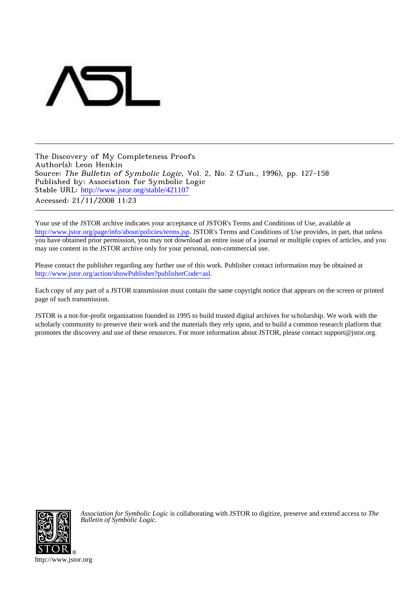

The Discovery of My Completeness Proofs Author(s): Leon Henkin Source: The Bulletin of Symbolic Logic, Vol. 2, No. 2 (Jun., 1996), pp. 127-158 Published by: Association for Symbolic Logic Stable URL: [http://www.jstor.org/stable/421107](http://www.jstor.org/stable/421107?origin=JSTOR-pdf) Accessed: 21/11/2008 11:23

Your use of the JSTOR archive indicates your acceptance of JSTOR's Terms and Conditions of Use, available at <http://www.jstor.org/page/info/about/policies/terms.jsp>. JSTOR's Terms and Conditions of Use provides, in part, that unless you have obtained prior permission, you may not download an entire issue of a journal or multiple copies of articles, and you may use content in the JSTOR archive only for your personal, non-commercial use.

Please contact the publisher regarding any further use of this work. Publisher contact information may be obtained at <http://www.jstor.org/action/showPublisher?publisherCode=asl>.

Each copy of any part of a JSTOR transmission must contain the same copyright notice that appears on the screen or printed page of such transmission.

JSTOR is a not-for-profit organization founded in 1995 to build trusted digital archives for scholarship. We work with the scholarly community to preserve their work and the materials they rely upon, and to build a common research platform that promotes the discovery and use of these resources. For more information about JSTOR, please contact support@jstor.org.



*Association for Symbolic Logic* is collaborating with JSTOR to digitize, preserve and extend access to *The Bulletin of Symbolic Logic.*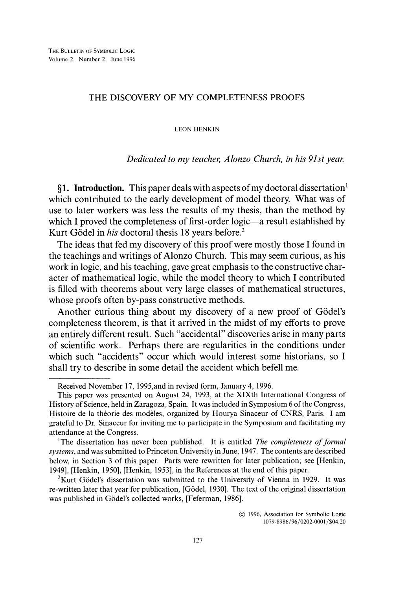# **THE DISCOVERY OF MY COMPLETENESS PROOFS**

**LEON HENKIN** 

## **Dedicated to my teacher, Alonzo Church, in his 91st year.**

**?1. Introduction. This paper deals with aspects of my doctoral dissertation1 which contributed to the early development of model theory. What was of use to later workers was less the results of my thesis, than the method by**  which I proved the completeness of first-order logic—a result established by Kurt Gödel in his doctoral thesis 18 years before.<sup>2</sup>

**The ideas that fed my discovery of this proof were mostly those I found in the teachings and writings of Alonzo Church. This may seem curious, as his work in logic, and his teaching, gave great emphasis to the constructive character of mathematical logic, while the model theory to which I contributed is filled with theorems about very large classes of mathematical structures, whose proofs often by-pass constructive methods.** 

Another curious thing about my discovery of a new proof of Gödel's **completeness theorem, is that it arrived in the midst of my efforts to prove an entirely different result. Such "accidental" discoveries arise in many parts of scientific work. Perhaps there are regularities in the conditions under which such "accidents" occur which would interest some historians, so I shall try to describe in some detail the accident which befell me.** 

**Received November 17, 1995,and in revised form, January 4, 1996.** 

**This paper was presented on August 24, 1993, at the XIXth International Congress of History of Science, held in Zaragoza, Spain. It was included in Symposium 6 of the Congress, Histoire de la theorie des modeles, organized by Hourya Sinaceur of CNRS, Paris. I am grateful to Dr. Sinaceur for inviting me to participate in the Symposium and facilitating my attendance at the Congress.** 

**<sup>&#</sup>x27;The dissertation has never been published. It is entitled The completeness of formal systems, and was submitted to Princeton University in June, 1947. The contents are described below, in Section 3 of this paper. Parts were rewritten for later publication; see [Henkin, 1949], [Henkin, 1950], [Henkin, 1953], in the References at the end of this paper.** 

<sup>&</sup>lt;sup>2</sup>Kurt Gödel's dissertation was submitted to the University of Vienna in 1929. It was re-written later that year for publication, [Gödel, 1930]. The text of the original dissertation was published in Gödel's collected works, [Feferman, 1986].

**O 1996, Association for Symbolic Logic 1079-8986/96/0202-0001/\$04.20**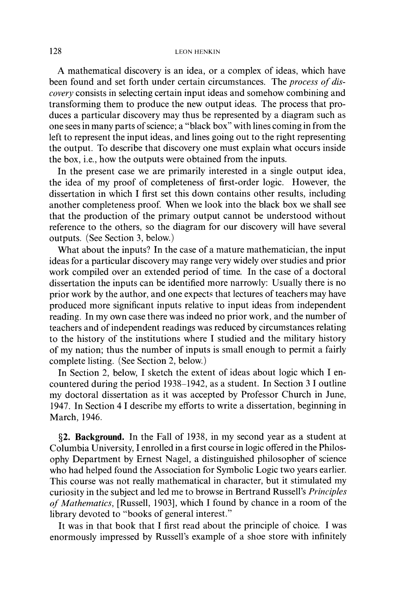#### **LEON HENKIN**

**A mathematical discovery is an idea, or a complex of ideas, which have been found and set forth under certain circumstances. The process of discovery consists in selecting certain input ideas and somehow combining and transforming them to produce the new output ideas. The process that produces a particular discovery may thus be represented by a diagram such as one sees in many parts of science; a "black box" with lines coming in from the left to represent the input ideas, and lines going out to the right representing the output. To describe that discovery one must explain what occurs inside the box, i.e., how the outputs were obtained from the inputs.** 

**In the present case we are primarily interested in a single output idea, the idea of my proof of completeness of first-order logic. However, the dissertation in which I first set this down contains other results, including another completeness proof. When we look into the black box we shall see that the production of the primary output cannot be understood without reference to the others, so the diagram for our discovery will have several outputs. (See Section 3, below.)** 

**What about the inputs? In the case of a mature mathematician, the input ideas for a particular discovery may range very widely over studies and prior work compiled over an extended period of time. In the case of a doctoral dissertation the inputs can be identified more narrowly: Usually there is no prior work by the author, and one expects that lectures of teachers may have produced more significant inputs relative to input ideas from independent reading. In my own case there was indeed no prior work, and the number of teachers and of independent readings was reduced by circumstances relating to the history of the institutions where I studied and the military history of my nation; thus the number of inputs is small enough to permit a fairly complete listing. (See Section 2, below.)** 

**In Section 2, below, I sketch the extent of ideas about logic which I encountered during the period 1938-1942, as a student. In Section 3 I outline my doctoral dissertation as it was accepted by Professor Church in June, 1947. In Section 4 I describe my efforts to write a dissertation, beginning in March, 1946.** 

**?2. Background. In the Fall of 1938, in my second year as a student at Columbia University, I enrolled in a first course in logic offered in the Philosophy Department by Ernest Nagel, a distinguished philosopher of science who had helped found the Association for Symbolic Logic two years earlier. This course was not really mathematical in character, but it stimulated my curiosity in the subject and led me to browse in Bertrand Russell's Principles of Mathematics, [Russell, 1903], which I found by chance in a room of the library devoted to "books of general interest."** 

**It was in that book that I first read about the principle of choice. I was enormously impressed by Russell's example of a shoe store with infinitely**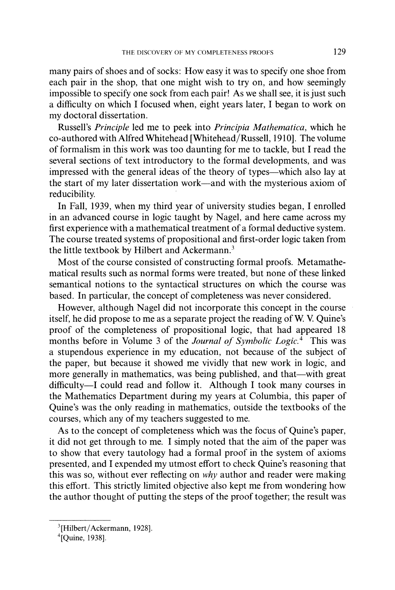**many pairs of shoes and of socks: How easy it was to specify one shoe from each pair in the shop, that one might wish to try on, and how seemingly impossible to specify one sock from each pair! As we shall see, it is just such a difficulty on which I focused when, eight years later, I began to work on my doctoral dissertation.** 

**Russell's Principle led me to peek into Principia Mathematica, which he co-authored with Alfred Whitehead [Whitehead/Russell, 1910]. The volume of formalism in this work was too daunting for me to tackle, but I read the several sections of text introductory to the formal developments, and was impressed with the general ideas of the theory of types-which also lay at the start of my later dissertation work-and with the mysterious axiom of reducibility.** 

**In Fall, 1939, when my third year of university studies began, I enrolled in an advanced course in logic taught by Nagel, and here came across my first experience with a mathematical treatment of a formal deductive system. The course treated systems of propositional and first-order logic taken from the little textbook by Hilbert and Ackermann.3** 

**Most of the course consisted of constructing formal proofs. Metamathematical results such as normal forms were treated, but none of these linked semantical notions to the syntactical structures on which the course was based. In particular, the concept of completeness was never considered.** 

**However, although Nagel did not incorporate this concept in the course itself, he did propose to me as a separate project the reading of W. V. Quine's proof of the completeness of propositional logic, that had appeared 18 months before in Volume 3 of the Journal of Symbolic Logic.4 This was a stupendous experience in my education, not because of the subject of the paper, but because it showed me vividly that new work in logic, and**  more generally in mathematics, was being published, and that—with great **difficulty-I could read and follow it. Although I took many courses in the Mathematics Department during my years at Columbia, this paper of Quine's was the only reading in mathematics, outside the textbooks of the courses, which any of my teachers suggested to me.** 

**As to the concept of completeness which was the focus of Quine's paper, it did not get through to me. I simply noted that the aim of the paper was to show that every tautology had a formal proof in the system of axioms presented, and I expended my utmost effort to check Quine's reasoning that this was so, without ever reflecting on why author and reader were making this effort. This strictly limited objective also kept me from wondering how the author thought of putting the steps of the proof together; the result was** 

**<sup>3[</sup>Hilbert/Ackermann, 1928].** 

**<sup>4[</sup>Quine, 1938].**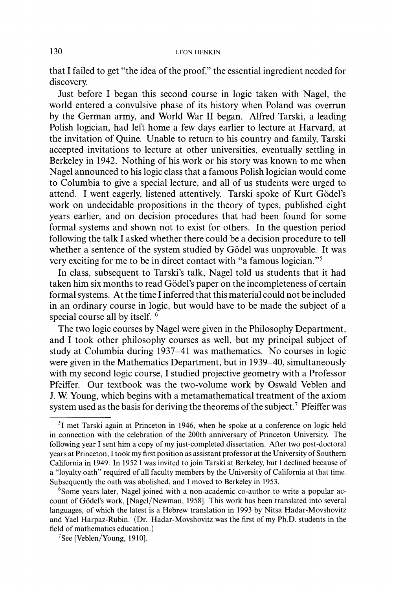**that I failed to get "the idea of the proof," the essential ingredient needed for discovery.** 

**Just before I began this second course in logic taken with Nagel, the world entered a convulsive phase of its history when Poland was overrun by the German army, and World War II began. Alfred Tarski, a leading Polish logician, had left home a few days earlier to lecture at Harvard, at the invitation of Quine. Unable to return to his country and family, Tarski accepted invitations to lecture at other universities, eventually settling in Berkeley in 1942. Nothing of his work or his story was known to me when Nagel announced to his logic class that a famous Polish logician would come to Columbia to give a special lecture, and all of us students were urged to attend. I went eagerly, listened attentively. Tarski spoke of Kurt Godel's work on undecidable propositions in the theory of types, published eight years earlier, and on decision procedures that had been found for some formal systems and shown not to exist for others. In the question period following the talk I asked whether there could be a decision procedure to tell**  whether a sentence of the system studied by Godel was unprovable. It was **very exciting for me to be in direct contact with "a famous logician."5** 

**In class, subsequent to Tarski's talk, Nagel told us students that it had**  taken him six months to read Gödel's paper on the incompleteness of certain **formal systems. At the time I inferred that this material could not be included in an ordinary course in logic, but would have to be made the subject of a special course all by itself. <sup>6</sup>**

**The two logic courses by Nagel were given in the Philosophy Department, and I took other philosophy courses as well, but my principal subject of study at Columbia during 1937-41 was mathematics. No courses in logic were given in the Mathematics Department, but in 1939-40, simultaneously with my second logic course, I studied projective geometry with a Professor Pfeiffer. Our textbook was the two-volume work by Oswald Veblen and J. W. Young, which begins with a metamathematical treatment of the axiom system used as the basis for deriving the theorems of the subject.7 Pfeiffer was** 

**<sup>5</sup>I met Tarski again at Princeton in 1946, when he spoke at a conference on logic held in connection with the celebration of the 200th anniversary of Princeton University. The following year I sent him a copy of my just-completed dissertation. After two post-doctoral years at Princeton, I took my first position as assistant professor at the University of Southern California in 1949. In 1952 I was invited to join Tarski at Berkeley, but I declined because of a "loyalty oath" required of all faculty members by the University of California at that time. Subsequently the oath was abolished, and I moved to Berkeley in 1953.** 

<sup>&</sup>lt;sup>6</sup> Some years later, Nagel joined with a non-academic co-author to write a popular ac**count of G6del's work, [Nagel/Newman, 1958]. This work has been translated into several languages, of which the latest is a Hebrew translation in 1993 by Nitsa Hadar-Movshovitz and Yael Harpaz-Rubin. (Dr. Hadar-Movshovitz was the first of my Ph.D. students in the field of mathematics education.)** 

**<sup>7</sup>See [Veblen/Young, 1910].**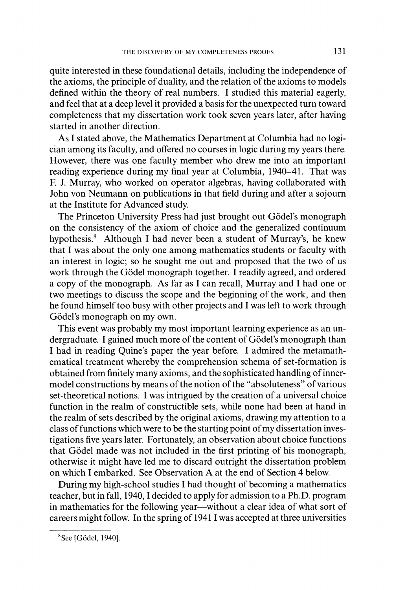**quite interested in these foundational details, including the independence of the axioms, the principle of duality, and the relation of the axioms to models defined within the theory of real numbers. I studied this material eagerly, and feel that at a deep level it provided a basis for the unexpected turn toward completeness that my dissertation work took seven years later, after having started in another direction.** 

**As I stated above, the Mathematics Department at Columbia had no logician among its faculty, and offered no courses in logic during my years there. However, there was one faculty member who drew me into an important reading experience during my final year at Columbia, 1940-41. That was F J. Murray, who worked on operator algebras, having collaborated with John von Neumann on publications in that field during and after a sojourn at the Institute for Advanced study.** 

The Princeton University Press had just brought out Gödel's monograph **on the consistency of the axiom of choice and the generalized continuum hypothesis.8 Although I had never been a student of Murray's, he knew that I was about the only one among mathematics students or faculty with an interest in logic; so he sought me out and proposed that the two of us**  work through the Gödel monograph together. I readily agreed, and ordered **a copy of the monograph. As far as I can recall, Murray and I had one or two meetings to discuss the scope and the beginning of the work, and then he found himself too busy with other projects and I was left to work through**  Gödel's monograph on my own.

**This event was probably my most important learning experience as an undergraduate. I gained much more of the content of Godel's monograph than I had in reading Quine's paper the year before. I admired the metamathematical treatment whereby the comprehension schema of set-formation is obtained from finitely many axioms, and the sophisticated handling of innermodel constructions by means of the notion of the "absoluteness" of various set-theoretical notions. I was intrigued by the creation of a universal choice function in the realm of constructible sets, while none had been at hand in the realm of sets described by the original axioms, drawing my attention to a class of functions which were to be the starting point of my dissertation investigations five years later. Fortunately, an observation about choice functions**  that Gödel made was not included in the first printing of his monograph, **otherwise it might have led me to discard outright the dissertation problem on which I embarked. See Observation A at the end of Section 4 below.** 

**During my high-school studies I had thought of becoming a mathematics teacher, but in fall, 1940, I decided to apply for admission to a Ph.D. program in mathematics for the following year-without a clear idea of what sort of careers might follow. In the spring of 1941 1 was accepted at three universities** 

**<sup>8</sup>See [G6del, 1940].**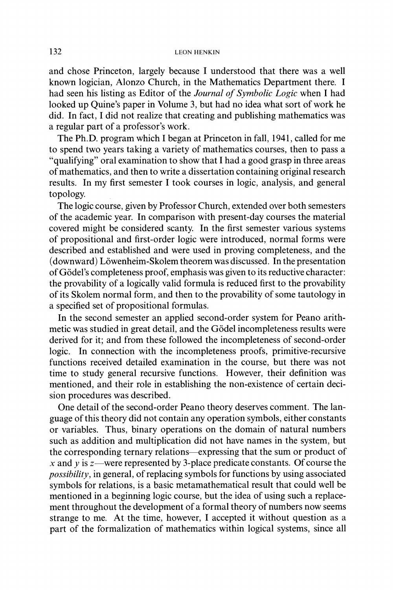**and chose Princeton, largely because I understood that there was a well known logician, Alonzo Church, in the Mathematics Department there. I had seen his listing as Editor of the Journal of Symbolic Logic when I had looked up Quine's paper in Volume 3, but had no idea what sort of work he did. In fact, I did not realize that creating and publishing mathematics was a regular part of a professor's work.** 

**The Ph.D. program which I began at Princeton in fall, 1941, called for me to spend two years taking a variety of mathematics courses, then to pass a "qualifying" oral examination to show that I had a good grasp in three areas of mathematics, and then to write a dissertation containing original research results. In my first semester I took courses in logic, analysis, and general topology.** 

**The logic course, given by Professor Church, extended over both semesters of the academic year. In comparison with present-day courses the material covered might be considered scanty. In the first semester various systems of propositional and first-order logic were introduced, normal forms were described and established and were used in proving completeness, and the**  (downward) Löwenheim-Skolem theorem was discussed. In the presentation **of G6del's completeness proof, emphasis was given to its reductive character: the provability of a logically valid formula is reduced first to the provability of its Skolem normal form, and then to the provability of some tautology in a specified set of propositional formulas.** 

**In the second semester an applied second-order system for Peano arith**metic was studied in great detail, and the Gödel incompleteness results were **derived for it; and from these followed the incompleteness of second-order logic. In connection with the incompleteness proofs, primitive-recursive functions received detailed examination in the course, but there was not time to study general recursive functions. However, their definition was mentioned, and their role in establishing the non-existence of certain decision procedures was described.** 

**One detail of the second-order Peano theory deserves comment. The language of this theory did not contain any operation symbols, either constants or variables. Thus, binary operations on the domain of natural numbers such as addition and multiplication did not have names in the system, but the corresponding ternary relations-expressing that the sum or product of**   $\dot{x}$  and  $\dot{y}$  is  $z$ —were represented by 3-place predicate constants. Of course the **possibility, in general, of replacing symbols for functions by using associated symbols for relations, is a basic metamathematical result that could well be mentioned in a beginning logic course, but the idea of using such a replacement throughout the development of a formal theory of numbers now seems strange to me. At the time, however, I accepted it without question as a part of the formalization of mathematics within logical systems, since all**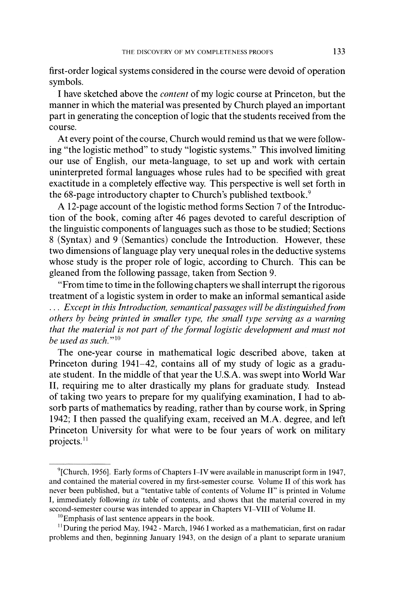**first-order logical systems considered in the course were devoid of operation symbols.** 

**I have sketched above the content of my logic course at Princeton, but the manner in which the material was presented by Church played an important part in generating the conception of logic that the students received from the course.** 

**At every point of the course, Church would remind us that we were following "the logistic method" to study "logistic systems." This involved limiting our use of English, our meta-language, to set up and work with certain uninterpreted formal languages whose rules had to be specified with great exactitude in a completely effective way. This perspective is well set forth in the 68-page introductory chapter to Church's published textbook.9** 

**A 12-page account of the logistic method forms Section 7 of the Introduction of the book, coming after 46 pages devoted to careful description of the linguistic components of languages such as those to be studied; Sections 8 (Syntax) and 9 (Semantics) conclude the Introduction. However, these two dimensions of language play very unequal roles in the deductive systems whose study is the proper role of logic, according to Church. This can be gleaned from the following passage, taken from Section 9.** 

**"From time to time in the following chapters we shall interrupt the rigorous treatment of a logistic system in order to make an informal semantical aside ... Except in this Introduction, semantical passages will be distinguished from others by being printed in smaller type, the small type serving as a warning that the material is not part of the formal logistic development and must not**  be used as such."<sup>10</sup>

**The one-year course in mathematical logic described above, taken at Princeton during 1941-42, contains all of my study of logic as a graduate student. In the middle of that year the U.S.A. was swept into World War II, requiring me to alter drastically my plans for graduate study. Instead of taking two years to prepare for my qualifying examination, I had to absorb parts of mathematics by reading, rather than by course work, in Spring 1942; I then passed the qualifying exam, received an M.A. degree, and left Princeton University for what were to be four years of work on military projects. "** 

<sup>&</sup>lt;sup>9</sup>[Church, 1956]. Early forms of Chapters I–IV were available in manuscript form in 1947, **and contained the material covered in my first-semester course. Volume II of this work has never been published, but a "tentative table of contents of Volume II" is printed in Volume I, immediately following its table of contents, and shows that the material covered in my second-semester course was intended to appear in Chapters VI-VIII of Volume II.** 

<sup>&</sup>lt;sup>10</sup>Emphasis of last sentence appears in the book.

<sup>&</sup>lt;sup>11</sup> During the period May, 1942 - March, 1946 I worked as a mathematician, first on radar **problems and then, beginning January 1943, on the design of a plant to separate uranium**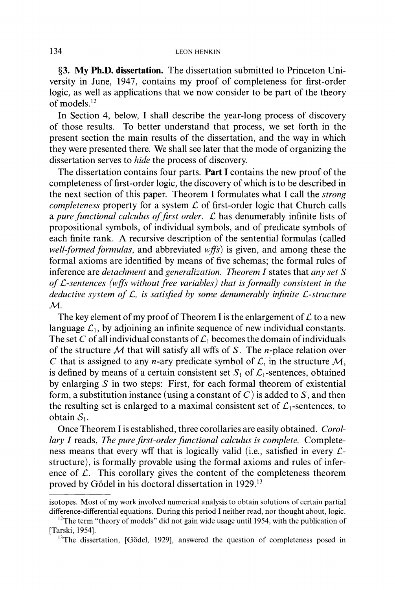**?3. My Ph.D. dissertation. The dissertation submitted to Princeton University in June, 1947, contains my proof of completeness for first-order logic, as well as applications that we now consider to be part of the theory of models.12** 

**In Section 4, below, I shall describe the year-long process of discovery of those results. To better understand that process, we set forth in the present section the main results of the dissertation, and the way in which they were presented there. We shall see later that the mode of organizing the dissertation serves to hide the process of discovery.** 

**The dissertation contains four parts. Part I contains the new proof of the completeness of first-order logic, the discovery of which is to be described in the next section of this paper. Theorem I formulates what I call the strong**  *completeness* property for a system  $\mathcal L$  of first-order logic that Church calls **a pure functional calculus of first order. C has denumerably infinite lists of propositional symbols, of individual symbols, and of predicate symbols of each finite rank. A recursive description of the sentential formulas (called**  well-formed formulas, and abbreviated wffs) is given, and among these the **formal axioms are identified by means of five schemas; the formal rules of inference are detachment and generalization. Theorem I states that any set S**  of L-sentences (wffs without free variables) that is formally consistent in the deductive system of L, is satisfied by some denumerably infinite L-structure **M.** 

The key element of my proof of Theorem I is the enlargement of  $\mathcal L$  to a new language  $\mathcal{L}_1$ , by adjoining an infinite sequence of new individual constants. The set C of all individual constants of  $\mathcal{L}_1$  becomes the domain of individuals **of the structure M that will satisfy all wffs of S. The n-place relation over**  C that is assigned to any *n*-ary predicate symbol of  $\mathcal{L}$ , in the structure  $\mathcal{M}$ , is defined by means of a certain consistent set  $S_1$  of  $\mathcal{L}_1$ -sentences, obtained **by enlarging S in two steps: First, for each formal theorem of existential form, a substitution instance (using a constant of C) is added to S, and then**  the resulting set is enlarged to a maximal consistent set of  $\mathcal{L}_1$ -sentences, to obtain  $S_1$ .

**Once Theorem I is established, three corollaries are easily obtained. Corol**lary I reads, The pure first-order functional calculus is complete. Complete**ness means that every wff that is logically valid (i.e., satisfied in every**  $\mathcal{L}$ **structure), is formally provable using the formal axioms and rules of infer**ence of  $\mathcal{L}$ . This corollary gives the content of the completeness theorem **proved by G6del in his doctoral dissertation in 1929.13** 

**isotopes. Most of my work involved numerical analysis to obtain solutions of certain partial difference-differential equations. During this period I neither read, nor thought about, logic.** 

<sup>&</sup>lt;sup>12</sup>The term "theory of models" did not gain wide usage until 1954, with the publication of **[Tarski, 1954].** 

<sup>&</sup>lt;sup>13</sup>The dissertation, [Gödel, 1929], answered the question of completeness posed in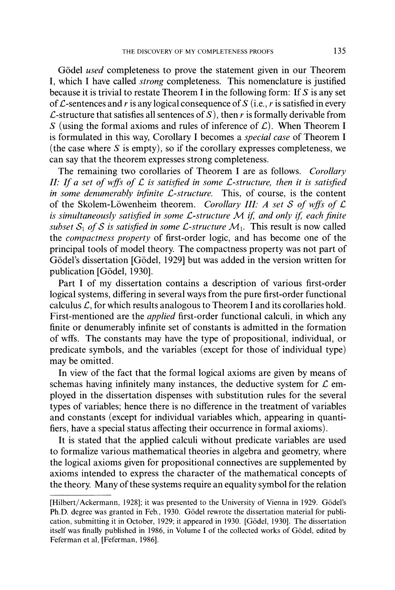Gödel *used* completeness to prove the statement given in our Theorem **I, which I have called strong completeness. This nomenclature is justified because it is trivial to restate Theorem I in the following form: If S is any set**  of  $\mathcal L$ -sentences and r is any logical consequence of  $S$  (i.e., r is satisfied in every  $\mathcal{L}$ -structure that satisfies all sentences of  $S$ ), then r is formally derivable from  $S$  (using the formal axioms and rules of inference of  $\mathcal{L}$ ). When Theorem I **is formulated in this way, Corollary I becomes a special case of Theorem I (the case where S is empty), so if the corollary expresses completeness, we can say that the theorem expresses strong completeness.** 

**The remaining two corollaries of Theorem I are as follows. Corollary II:** If a set of wffs of  $\mathcal{L}$  is satisfied in some  $\mathcal{L}$ -structure, then it is satisfied **in some denumerably infinite C-structure. This, of course, is the content**  of the Skolem-Löwenheim theorem. Corollary III: A set S of wffs of L is simultaneously satisfied in some *L*-structure *M* if, and only if, each finite subset  $S_1$  of S is satisfied in some *L*-structure  $M_1$ . This result is now called **the compactness property of first-order logic, and has become one of the principal tools of model theory. The compactness property was not part of**  Gödel's dissertation [Gödel, 1929] but was added in the version written for **publication [G6del, 1930].** 

**Part I of my dissertation contains a description of various first-order logical systems, differing in several ways from the pure first-order functional calculus C, for which results analogous to Theorem I and its corollaries hold. First-mentioned are the applied first-order functional calculi, in which any finite or denumerably infinite set of constants is admitted in the formation of wffs. The constants may have the type of propositional, individual, or predicate symbols, and the variables (except for those of individual type) may be omitted.** 

**In view of the fact that the formal logical axioms are given by means of**  schemas having infinitely many instances, the deductive system for  $\mathcal L$  em**ployed in the dissertation dispenses with substitution rules for the several types of variables; hence there is no difference in the treatment of variables and constants (except for individual variables which, appearing in quantifiers, have a special status affecting their occurrence in formal axioms).** 

**It is stated that the applied calculi without predicate variables are used to formalize various mathematical theories in algebra and geometry, where the logical axioms given for propositional connectives are supplemented by axioms intended to express the character of the mathematical concepts of the theory. Many of these systems require an equality symbol for the relation** 

<sup>[</sup>Hilbert/Ackermann, 1928]; it was presented to the University of Vienna in 1929. Gödel's Ph.D. degree was granted in Feb., 1930. Gödel rewrote the dissertation material for publication, submitting it in October, 1929; it appeared in 1930. [Gödel, 1930]. The dissertation **itself was finally published in 1986, in Volume I of the collected works of G6del, edited by Feferman et al, [Feferman, 1986].**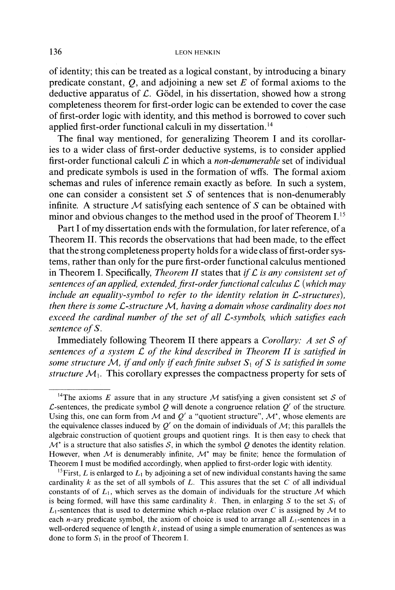**of identity; this can be treated as a logical constant, by introducing a binary predicate constant, Q, and adjoining a new set E of formal axioms to the**  deductive apparatus of L. Gödel, in his dissertation, showed how a strong **completeness theorem for first-order logic can be extended to cover the case of first-order logic with identity, and this method is borrowed to cover such applied first-order functional calculi in my dissertation.14** 

**The final way mentioned, for generalizing Theorem I and its corollaries to a wider class of first-order deductive systems, is to consider applied first-order functional calculi C in which a non-denumerable set of individual and predicate symbols is used in the formation of wffs. The formal axiom schemas and rules of inference remain exactly as before. In such a system, one can consider a consistent set S of sentences that is non-denumerably infinite. A structure M satisfying each sentence of S can be obtained with minor and obvious changes to the method used in the proof of Theorem I.15** 

**Part I of my dissertation ends with the formulation, for later reference, of a Theorem II. This records the observations that had been made, to the effect that the strong completeness property holds for a wide class of first-order systems, rather than only for the pure first-order functional calculus mentioned**  in Theorem I. Specifically, Theorem II states that  $if \mathcal{L}$  is any consistent set of sentences of an applied, extended, first-order functional calculus L (which may **include an equality-symbol to refer to the identity relation in L-structures), then there is some C-structure M, having a domain whose cardinality does not exceed the cardinal number of the set of all C-symbols, which satisfies each sentence of S.** 

**Immediately following Theorem II there appears a Corollary. A set S of**  sentences of a system L of the kind described in Theorem II is satisfied in some structure M, if and only if each finite subset  $S_1$  of S is satisfied in some structure  $M<sub>1</sub>$ . This corollary expresses the compactness property for sets of

<sup>&</sup>lt;sup>14</sup>The axioms E assure that in any structure M satisfying a given consistent set S of L-sentences, the predicate symbol  $Q$  will denote a congruence relation  $Q'$  of the structure. Using this, one can form from M and  $Q'$  a "quotient structure",  $M^*$ , whose elements are the equivalence classes induced by  $Q'$  on the domain of individuals of  $M$ ; this parallels the **algebraic construction of quotient groups and quotient rings. It is then easy to check that**   $M^*$  is a structure that also satisfies S, in which the symbol Q denotes the identity relation. However, when  $M$  is denumerably infinite,  $M^*$  may be finite; hence the formulation of **Theorem I must be modified accordingly, when applied to first-order logic with identity.** 

<sup>&</sup>lt;sup>15</sup> First, L is enlarged to  $L_1$  by adjoining a set of new individual constants having the same cardinality k as the set of all symbols of L. This assures that the set C of all individual constants of of  $L_1$ , which serves as the domain of individuals for the structure  $M$  which is being formed, will have this same cardinality k. Then, in enlarging S to the set  $S_1$  of  $L_1$ -sentences that is used to determine which *n*-place relation over C is assigned by M to each *n*-ary predicate symbol, the axiom of choice is used to arrange all  $L_1$ -sentences in a **well-ordered sequence of length k, instead of using a simple enumeration of sentences as was**  done to form  $S_1$  in the proof of Theorem I.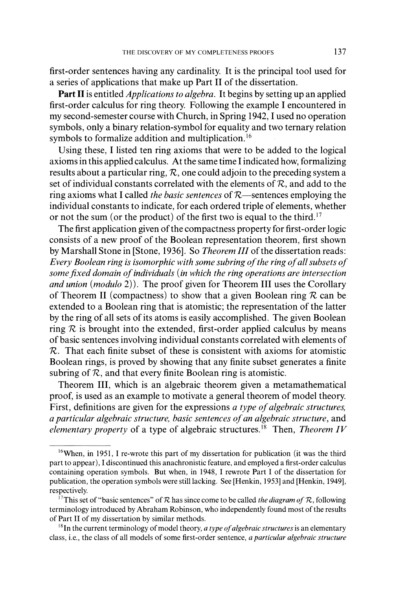**first-order sentences having any cardinality. It is the principal tool used for a series of applications that make up Part II of the dissertation.** 

**Part II is entitled Applications to algebra. It begins by setting up an applied first-order calculus for ring theory. Following the example I encountered in my second-semester course with Church, in Spring 1942, I used no operation symbols, only a binary relation-symbol for equality and two ternary relation symbols to formalize addition and multiplication.16** 

**Using these, I listed ten ring axioms that were to be added to the logical axioms in this applied calculus. At the same time I indicated how, formalizing**  results about a particular ring, R, one could adjoin to the preceding system a set of individual constants correlated with the elements of  $R$ , and add to the  $r$ ing axioms what I called *the basic sentences* of  $R$ —sentences employing the **individual constants to indicate, for each ordered triple of elements, whether or not the sum (or the product) of the first two is equal to the third.'7** 

**The first application given of the compactness property for first-order logic consists of a new proof of the Boolean representation theorem, first shown by Marshall Stone in [Stone, 1936]. So Theorem III of the dissertation reads: Every Boolean ring is isomorphic with some subring of the ring of all subsets of**  some fixed domain of individuals (in which the ring operations are intersection **and union (modulo 2)). The proof given for Theorem III uses the Corollary**  of Theorem II (compactness) to show that a given Boolean ring  $R$  can be **extended to a Boolean ring that is atomistic; the representation of the latter by the ring of all sets of its atoms is easily accomplished. The given Boolean**  ring  $R$  is brought into the extended, first-order applied calculus by means **of basic sentences involving individual constants correlated with elements of 7. That each finite subset of these is consistent with axioms for atomistic Boolean rings, is proved by showing that any finite subset generates a finite**  subring of  $R$ , and that every finite Boolean ring is atomistic.

**Theorem III, which is an algebraic theorem given a metamathematical proof, is used as an example to motivate a general theorem of model theory. First, definitions are given for the expressions a type of algebraic structures, a particular algebraic structure, basic sentences of an algebraic structure, and elementary property of a type of algebraic structures.18 Then, Theorem IV** 

<sup>&</sup>lt;sup>16</sup> When, in 1951, I re-wrote this part of my dissertation for publication (it was the third **part to appear), I discontinued this anachronistic feature, and employed a first-order calculus containing operation symbols. But when, in 1948, I rewrote Part I of the dissertation for publication, the operation symbols were still lacking. See [Henkin, 1953] and [Henkin, 1949], respectively.** 

<sup>&</sup>lt;sup>17</sup>This set of "basic sentences" of  $R$  has since come to be called *the diagram of*  $R$ , following **terminology introduced by Abraham Robinson, who independently found most of the results of Part II of my dissertation by similar methods.** 

<sup>&</sup>lt;sup>18</sup> In the current terminology of model theory, *a type of algebraic structures* is an elementary **class, i.e., the class of all models of some first-order sentence, a particular algebraic structure**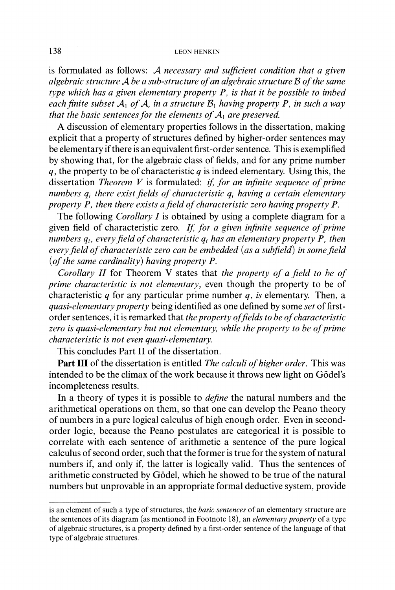#### **LEON HENKIN**

**is formulated as follows: A necessary and sufficient condition that a given algebraic structure A be a sub-structure of an algebraic structure 13 of the same type which has a given elementary property P, is that it be possible to imbed**  each finite subset  $A_1$  of  $A$ , in a structure  $B_1$  having property P, in such a way that the basic sentences for the elements of  $A<sub>1</sub>$  are preserved.

**A discussion of elementary properties follows in the dissertation, making explicit that a property of structures defined by higher-order sentences may be elementary if there is an equivalent first-order sentence. This is exemplified by showing that, for the algebraic class of fields, and for any prime number q, the property to be of characteristic q is indeed elementary. Using this, the dissertation Theorem V is formulated: if, for an infinite sequence of prime**  numbers  $q_i$  there exist fields of characteristic  $q_i$  having a certain elementary **property P, then there exists afield of characteristic zero having property P.** 

**The following Corollary I is obtained by using a complete diagram for a given field of characteristic zero. If, for a given infinite sequence of prime**  numbers  $q_i$ , every field of characteristic  $q_i$  has an elementary property  $P$ , then every field of characteristic zero can be embedded (as a subfield) in some field **(of the same cardinality) having property P.** 

**Corollary II for Theorem V states that the property of a field to be of prime characteristic is not elementary, even though the property to be of**  characteristic  $q$  for any particular prime number  $q$ , is elementary. Then, a **quasi-elementary property being identified as one defined by some set of firstorder sentences, it is remarked that theproperty offields to be of characteristic zero is quasi-elementary but not elementary, while the property to be of prime characteristic is not even quasi-elementary.** 

**This concludes Part II of the dissertation.** 

**Part III of the dissertation is entitled The calculi of higher order. This was**  intended to be the climax of the work because it throws new light on Gödel's **incompleteness results.** 

**In a theory of types it is possible to define the natural numbers and the arithmetical operations on them, so that one can develop the Peano theory of numbers in a pure logical calculus of high enough order. Even in secondorder logic, because the Peano postulates are categorical it is possible to correlate with each sentence of arithmetic a sentence of the pure logical calculus of second order, such that the former is true for the system of natural numbers if, and only if, the latter is logically valid. Thus the sentences of arithmetic constructed by Godel, which he showed to be true of the natural numbers but unprovable in an appropriate formal deductive system, provide** 

**is an element of such a type of structures, the basic sentences of an elementary structure are the sentences of its diagram (as mentioned in Footnote 18), an elementary property of a type of algebraic structures, is a property defined by a first-order sentence of the language of that type of algebraic structures.**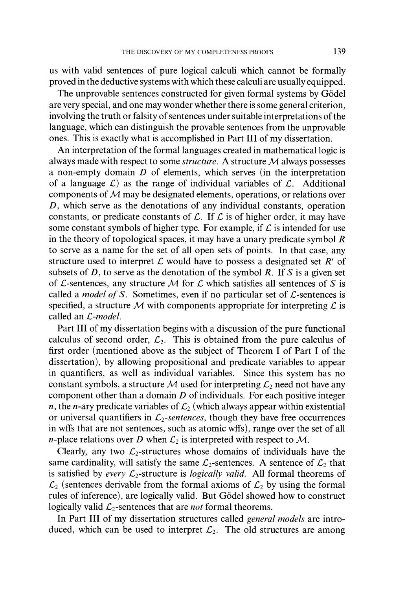**us with valid sentences of pure logical calculi which cannot be formally proved in the deductive systems with which these calculi are usually equipped.** 

**The unprovable sentences constructed for given formal systems by Godel are very special, and one may wonder whether there is some general criterion, involving the truth or falsity of sentences under suitable interpretations of the language, which can distinguish the provable sentences from the unprovable ones. This is exactly what is accomplished in Part III of my dissertation.** 

**An interpretation of the formal languages created in mathematical logic is always made with respect to some structure. A structure M always possesses a non-empty domain D of elements, which serves (in the interpretation**  of a language  $\mathcal{L}$ ) as the range of individual variables of  $\mathcal{L}$ . Additional **components of M may be designated elements, operations, or relations over D, which serve as the denotations of any individual constants, operation**  constants, or predicate constants of  $\mathcal{L}$ . If  $\mathcal{L}$  is of higher order, it may have some constant symbols of higher type. For example, if  $\mathcal L$  is intended for use **in the theory of topological spaces, it may have a unary predicate symbol R to serve as a name for the set of all open sets of points. In that case, any**  structure used to interpret  $\mathcal L$  would have to possess a designated set  $R'$  of subsets of  $D$ , to serve as the denotation of the symbol  $R$ . If  $S$  is a given set of  $\mathcal L$ -sentences, any structure  $\mathcal M$  for  $\mathcal L$  which satisfies all sentences of  $S$  is **called a model of S. Sometimes, even if no particular set of L-sentences is**  specified, a structure M with components appropriate for interpreting  $\mathcal L$  is **called an C-model.** 

**Part III of my dissertation begins with a discussion of the pure functional**  calculus of second order,  $\mathcal{L}_2$ . This is obtained from the pure calculus of **first order (mentioned above as the subject of Theorem I of Part I of the dissertation), by allowing propositional and predicate variables to appear in quantifiers, as well as individual variables. Since this system has no**  constant symbols, a structure M used for interpreting  $\mathcal{L}_2$  need not have any **component other than a domain D of individuals. For each positive integer**  *n*, the *n*-ary predicate variables of  $\mathcal{L}_2$  (which always appear within existential or universal quantifiers in  $\mathcal{L}_2$ -sentences, though they have free occurrences **in wffs that are not sentences, such as atomic wffs), range over the set of all**  *n*-place relations over D when  $\mathcal{L}_2$  is interpreted with respect to M.

Clearly, any two  $\mathcal{L}_2$ -structures whose domains of individuals have the same cardinality, will satisfy the same  $\mathcal{L}_2$ -sentences. A sentence of  $\mathcal{L}_2$  that is satisfied by *every*  $\mathcal{L}_2$ -structure is *logically valid*. All formal theorems of  $\mathcal{L}_2$  (sentences derivable from the formal axioms of  $\mathcal{L}_2$  by using the formal rules of inference), are logically valid. But Gödel showed how to construct logically valid  $\mathcal{L}_2$ -sentences that are *not* formal theorems.

**In Part III of my dissertation structures called general models are intro**duced, which can be used to interpret  $\mathcal{L}_2$ . The old structures are among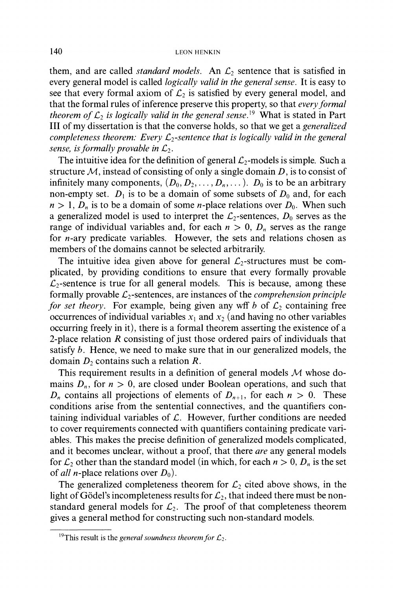them, and are called *standard models*. An  $\mathcal{L}_2$  sentence that is satisfied in **every general model is called logically valid in the general sense. It is easy to**  see that every formal axiom of  $\mathcal{L}_2$  is satisfied by every general model, and **that the formal rules of inference preserve this property, so that every formal**  *theorem of*  $\mathcal{L}_2$  *is logically valid in the general sense.*<sup>19</sup> What is stated in Part **III of my dissertation is that the converse holds, so that we get a generalized**  completeness theorem: Every  $\mathcal{L}_2$ -sentence that is logically valid in the general sense, is formally provable in  $\mathcal{L}_2$ .

The intuitive idea for the definition of general  $\mathcal{L}_2$ -models is simple. Such a **structure M, instead of consisting of only a single domain D, is to consist of**  infinitely many components,  $(D_0, D_2, \ldots, D_n, \ldots)$ .  $D_0$  is to be an arbitrary non-empty set.  $D_1$  is to be a domain of some subsets of  $D_0$  and, for each  $n > 1$ ,  $D_n$  is to be a domain of some *n*-place relations over  $D_0$ . When such a generalized model is used to interpret the  $\mathcal{L}_2$ -sentences,  $D_0$  serves as the range of individual variables and, for each  $n > 0$ ,  $D_n$  serves as the range **for n-ary predicate variables. However, the sets and relations chosen as members of the domains cannot be selected arbitrarily.** 

The intuitive idea given above for general  $\mathcal{L}_2$ -structures must be com**plicated, by providing conditions to ensure that every formally provable**   $\mathcal{L}_2$ -sentence is true for all general models. This is because, among these formally provable  $\mathcal{L}_2$ -sentences, are instances of the *comprehension principle for set theory.* For example, being given any wff b of  $\mathcal{L}_2$  containing free occurrences of individual variables  $x_1$  and  $x_2$  (and having no other variables **occurring freely in it), there is a formal theorem asserting the existence of a 2-place relation R consisting of just those ordered pairs of individuals that satisfy b. Hence, we need to make sure that in our generalized models, the**  domain  $D_2$  contains such a relation  $R$ .

**This requirement results in a definition of general models M whose do**mains  $D_n$ , for  $n > 0$ , are closed under Boolean operations, and such that  $D_n$  contains all projections of elements of  $D_{n+1}$ , for each  $n > 0$ . These **conditions arise from the sentential connectives, and the quantifiers containing individual variables of C. However, further conditions are needed to cover requirements connected with quantifiers containing predicate variables. This makes the precise definition of generalized models complicated, and it becomes unclear, without a proof, that there are any general models**  for  $\mathcal{L}_2$  other than the standard model (in which, for each  $n > 0$ ,  $D_n$  is the set of *all n*-place relations over  $D_0$ .

The generalized completeness theorem for  $\mathcal{L}_2$  cited above shows, in the light of Gödel's incompleteness results for  $\mathcal{L}_2$ , that indeed there must be nonstandard general models for  $\mathcal{L}_2$ . The proof of that completeness theorem **gives a general method for constructing such non-standard models.** 

<sup>&</sup>lt;sup>19</sup>This result is the general soundness theorem for  $\mathcal{L}_2$ .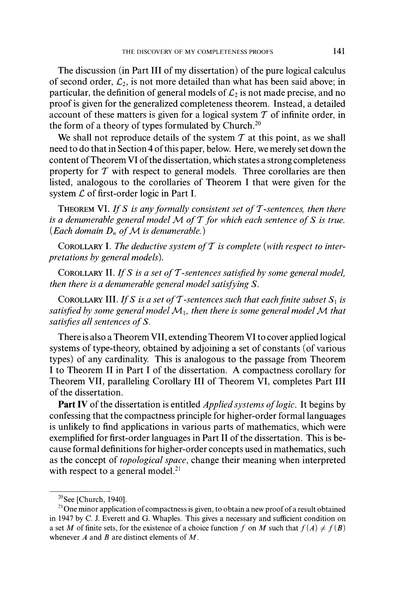**The discussion (in Part III of my dissertation) of the pure logical calculus**  of second order,  $\mathcal{L}_2$ , is not more detailed than what has been said above; in **particular, the definition of general models of**  $\mathcal{L}_2$  **is not made precise, and no proof is given for the generalized completeness theorem. Instead, a detailed account of these matters is given for a logical system T of infinite order, in the form of a theory of types formulated by Church.20** 

We shall not reproduce details of the system  $T$  at this point, as we shall **need to do that in Section 4 of this paper, below. Here, we merely set down the content of Theorem VI of the dissertation, which states a strong completeness property for T with respect to general models. Three corollaries are then listed, analogous to the corollaries of Theorem I that were given for the system L of first-order logic in Part I.** 

**THEOREM VI. If S is any formally consistent set of T-sentences, then there is a denumerable general model M ofT for which each sentence of S is true.**  (*Each domain*  $D_n$  *of*  $M$  *is denumerable.*)

COROLLARY I. The deductive system of  $T$  is complete (with respect to inter**pretations by general models).** 

COROLLARY II. If S is a set of T-sentences satisfied by some general model, **then there is a denumerable general model satisfying S.** 

**COROLLARY III.** If S is a set of T-sentences such that each finite subset  $S_1$  is satisfied by some general model  $M<sub>1</sub>$ , then there is some general model M that **satisfies all sentences of S.** 

**There is also a Theorem VII, extending Theorem VI to cover applied logical systems of type-theory, obtained by adjoining a set of constants (of various types) of any cardinality. This is analogous to the passage from Theorem I to Theorem II in Part I of the dissertation. A compactness corollary for Theorem VII, paralleling Corollary III of Theorem VI, completes Part III of the dissertation.** 

**Part IV of the dissertation is entitled Applied systems of logic. It begins by confessing that the compactness principle for higher-order formal languages is unlikely to find applications in various parts of mathematics, which were exemplified for first-order languages in Part II of the dissertation. This is because formal definitions for higher-order concepts used in mathematics, such as the concept of topological space, change their meaning when interpreted**  with respect to a general model.<sup>21</sup>

**<sup>20</sup>See [Church, 1940].** 

**<sup>21</sup>One minor application of compactness is given, to obtain a new proof of a result obtained in 1947 by C. J. Everett and G. Whaples. This gives a necessary and sufficient condition on a** set M of finite sets, for the existence of a choice function f on M such that  $f(A) \neq f(B)$ **whenever A and B are distinct elements of M.**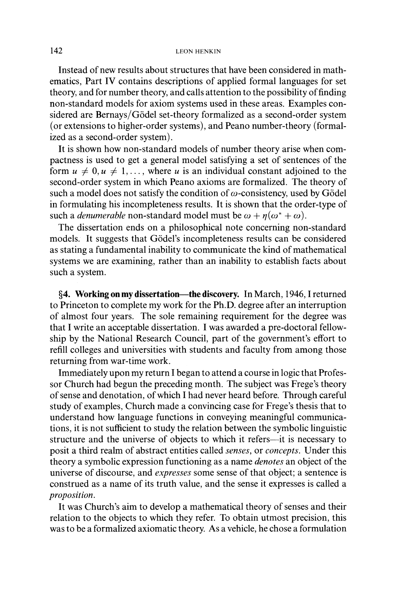**Instead of new results about structures that have been considered in mathematics, Part IV contains descriptions of applied formal languages for set theory, and for number theory, and calls attention to the possibility of finding non-standard models for axiom systems used in these areas. Examples considered are Bernays/Godel set-theory formalized as a second-order system (or extensions to higher-order systems), and Peano number-theory (formalized as a second-order system).** 

**It is shown how non-standard models of number theory arise when compactness is used to get a general model satisfying a set of sentences of the**  form  $u \neq 0, u \neq 1, \ldots$ , where u is an individual constant adjoined to the **second-order system in which Peano axioms are formalized. The theory of**  such a model does not satisfy the condition of  $\omega$ -consistency, used by Gödel **in formulating his incompleteness results. It is shown that the order-type of**  such a *denumerable* non-standard model must be  $\omega + \eta(\omega^* + \omega)$ .

**The dissertation ends on a philosophical note concerning non-standard**  models. It suggests that Gödel's incompleteness results can be considered **as stating a fundamental inability to communicate the kind of mathematical systems we are examining, rather than an inability to establish facts about such a system.** 

§4. Working on my dissertation—the discovery. In March, 1946, I returned **to Princeton to complete my work for the Ph.D. degree after an interruption of almost four years. The sole remaining requirement for the degree was that I write an acceptable dissertation. I was awarded a pre-doctoral fellowship by the National Research Council, part of the government's effort to refill colleges and universities with students and faculty from among those returning from war-time work.** 

**Immediately upon my return I began to attend a course in logic that Professor Church had begun the preceding month. The subject was Frege's theory of sense and denotation, of which I had never heard before. Through careful study of examples, Church made a convincing case for Frege's thesis that to understand how language functions in conveying meaningful communications, it is not sufficient to study the relation between the symbolic linguistic structure and the universe of objects to which it refers-it is necessary to posit a third realm of abstract entities called senses, or concepts. Under this theory a symbolic expression functioning as a name denotes an object of the universe of discourse, and expresses some sense of that object; a sentence is construed as a name of its truth value, and the sense it expresses is called a proposition.** 

**It was Church's aim to develop a mathematical theory of senses and their relation to the objects to which they refer. To obtain utmost precision, this was to be a formalized axiomatic theory. As a vehicle, he chose a formulation**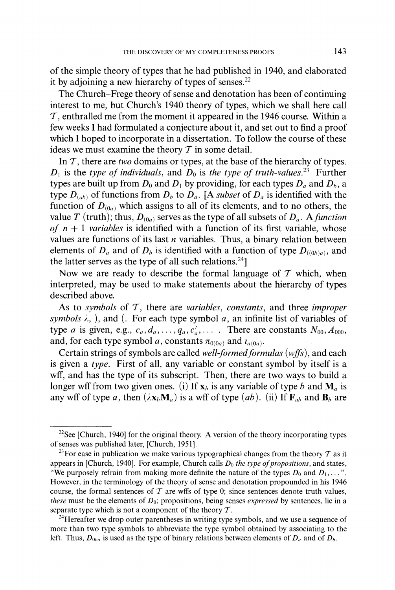**of the simple theory of types that he had published in 1940, and elaborated it by adjoining a new hierarchy of types of senses.22** 

**The Church-Frege theory of sense and denotation has been of continuing interest to me, but Church's 1940 theory of types, which we shall here call T, enthralled me from the moment it appeared in the 1946 course. Within a few weeks I had formulated a conjecture about it, and set out to find a proof which I hoped to incorporate in a dissertation. To follow the course of these**  ideas we must examine the theory  $\mathcal T$  in some detail.

**In T, there are two domains or types, at the base of the hierarchy of types.**   $D_1$  is the type of individuals, and  $D_0$  is the type of truth-values.<sup>23</sup> Further types are built up from  $D_0$  and  $D_1$  by providing, for each types  $D_a$  and  $D_b$ , a type  $D_{(ab)}$  of functions from  $D_b$  to  $D_a$ . [A subset of  $D_a$  is identified with the function of  $D_{(0a)}$  which assigns to all of its elements, and to no others, the value T (truth); thus,  $D_{(0a)}$  serves as the type of all subsets of  $D_a$ . A function of  $n + 1$  variables is identified with a function of its first variable, whose **values are functions of its last n variables. Thus, a binary relation between**  elements of  $D_a$  and of  $D_b$  is identified with a function of type  $D_{((0b)a)}$ , and **the latter serves as the type of all such relations.24]** 

**Now we are ready to describe the formal language of T which, when interpreted, may be used to make statements about the hierarchy of types described above.** 

**As to symbols of T, there are variables, constants, and three improper**  symbols  $\lambda$ , ), and (. For each type symbol a, an infinite list of variables of **type** a is given, e.g.,  $c_a$ ,  $d_a$ , ...,  $q_a$ ,  $c'_a$ , ... . There are constants  $N_{00}$ ,  $A_{000}$ , and, for each type symbol a, constants  $\pi_{0(0a)}$  and  $\iota_{a(0a)}$ .

Certain strings of symbols are called *well-formed formulas* (*wffs*), and each **is given a type. First of all, any variable or constant symbol by itself is a wff, and has the type of its subscript. Then, there are two ways to build a**  longer wff from two given ones. (i) If  $x<sub>b</sub>$  is any variable of type b and  $M<sub>a</sub>$  is any wff of type a, then  $(\lambda x_h \mathbf{M}_a)$  is a wff of type  $(ab)$ . (ii) If  $\mathbf{F}_{ab}$  and  $\mathbf{B}_b$  are

**<sup>22</sup>See [Church, 1940] for the original theory. A version of the theory incorporating types of senses was published later, [Church, 1951].** 

<sup>&</sup>lt;sup>23</sup>For ease in publication we make various typographical changes from the theory  $\tau$  as it **appears in [Church, 1940]. For example, Church calls Do the type of propositions, and states,**  "We purposely refrain from making more definite the nature of the types  $D_0$  and  $D_1, \ldots$ ". **However, in the terminology of the theory of sense and denotation propounded in his 1946**  course, the formal sentences of  $T$  are wffs of type 0; since sentences denote truth values, **these must be the elements of Do; propositions, being senses expressed by sentences, lie in a separate type which is not a component of the theory T.** 

<sup>&</sup>lt;sup>24</sup>Hereafter we drop outer parentheses in writing type symbols, and we use a sequence of **more than two type symbols to abbreviate the type symbol obtained by associating to the**  left. Thus,  $D_{0ha}$  is used as the type of binary relations between elements of  $D_a$  and of  $D_b$ .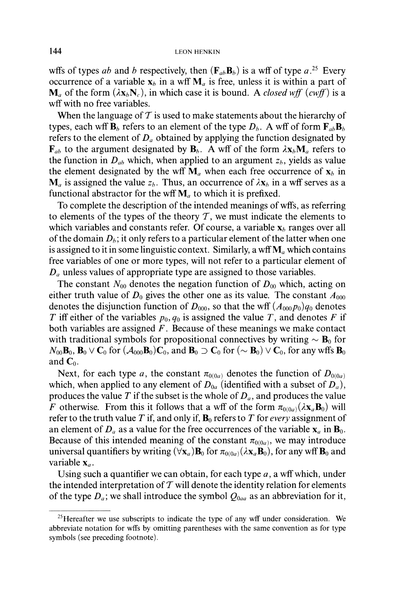wffs of types ab and b respectively, then  $(\mathbf{F}_{ab}\mathbf{B}_{b})$  is a wff of type  $a^{25}$  Every **occurrence of a variable**  $\mathbf{x}_b$  **in a wff**  $\mathbf{M}_a$  **is free, unless it is within a part of**  $\mathbf{M}_a$  of the form  $(\lambda \mathbf{x}_b \mathbf{N}_c)$ , in which case it is bound. A *closed wff* (*cwff*) is a **wff with no free variables.** 

When the language of  $T$  is used to make statements about the hierarchy of **types, each wff**  $\mathbf{B}_b$  **refers to an element of the type**  $D_b$ **. A wff of form**  $\mathbf{F}_{ab}\mathbf{B}_b$ refers to the element of  $D<sub>a</sub>$  obtained by applying the function designated by  $\mathbf{F}_{ab}$  to the argument designated by  $\mathbf{B}_{b}$ . A wff of the form  $\lambda \mathbf{x}_{b} \mathbf{M}_{a}$  refers to the function in  $D_{ab}$  which, when applied to an argument  $z_b$ , yields as value the element designated by the wff  $M_a$  when each free occurrence of  $x_b$  in  $M_a$  is assigned the value  $z_b$ . Thus, an occurrence of  $\lambda x_b$  in a wff serves as a functional abstractor for the wff  $\mathbf{M}_a$  to which it is prefixed.

**To complete the description of the intended meanings of wffs, as referring**  to elements of the types of the theory  $T$ , we must indicate the elements to which variables and constants refer. Of course, a variable  $x<sub>b</sub>$  ranges over all of the domain  $D_b$ ; it only refers to a particular element of the latter when one **is assigned to it in some linguistic context. Similarly, a wff**  $M_a$  **which contains free variables of one or more types, will not refer to a particular element of Da unless values of appropriate type are assigned to those variables.** 

The constant  $N_{00}$  denotes the negation function of  $D_{00}$  which, acting on either truth value of  $D_0$  gives the other one as its value. The constant  $A_{000}$ denotes the disjunction function of  $D_{000}$ , so that the wff  $(A_{000}p_0)q_0$  denotes T iff either of the variables  $p_0, q_0$  is assigned the value T, and denotes F if **both variables are assigned F. Because of these meanings we make contact**  with traditional symbols for propositional connectives by writing  $\sim$   $\mathbf{B}_0$  for  $N_{00}$ **B**<sub>0</sub>, **B**<sub>0</sub>  $\vee$  **C**<sub>0</sub> for  $(A_{000}$ **B**<sub>0</sub> $)$ **C**<sub>0</sub>, and **B**<sub>0</sub>  $\supset$  **C**<sub>0</sub> for  $(\sim$  **B**<sub>0</sub> $)$   $\vee$  **C**<sub>0</sub>, for any wffs **B**<sub>0</sub> and  $C_0$ .

Next, for each type a, the constant  $\pi_{0(0a)}$  denotes the function of  $D_{0(0a)}$ which, when applied to any element of  $D_{0a}$  (identified with a subset of  $D_a$ ), produces the value  $T$  if the subset is the whole of  $D_a$ , and produces the value **F** otherwise. From this it follows that a wff of the form  $\pi_{0(0a)}(\lambda \mathbf{x}_a \mathbf{B}_0)$  will refer to the truth value T if, and only if,  $B_0$  refers to T for *every* assignment of an element of  $D_a$  as a value for the free occurrences of the variable  $\mathbf{x}_a$  in  $\mathbf{B}_0$ . Because of this intended meaning of the constant  $\pi_{0(0a)}$ , we may introduce universal quantifiers by writing  $(\forall x_a)$ **B**<sub>0</sub> for  $\pi_{0(0a)}(\lambda x_a$ **B**<sub>0</sub>), for any wff **B**<sub>0</sub> and **variable x**<sub>a</sub>.

**Using such a quantifier we can obtain, for each type a, a wff which, under**  the intended interpretation of  $T$  will denote the identity relation for elements of the type  $D_a$ ; we shall introduce the symbol  $Q_{0aa}$  as an abbreviation for it,

**<sup>25</sup>Hereafter we use subscripts to indicate the type of any wff under consideration. We abbreviate notation for wffs by omitting parentheses with the same convention as for type symbols (see preceding footnote).**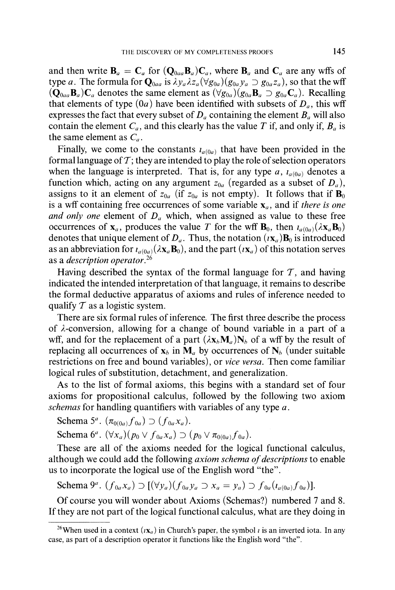and then write  $\mathbf{B}_a = \mathbf{C}_a$  for  $(\mathbf{Q}_{0aa} \mathbf{B}_a) \mathbf{C}_a$ , where  $\mathbf{B}_a$  and  $\mathbf{C}_a$  are any wffs of **type** *a***. The formula for**  $\mathbf{Q}_{0aa}$  **is**  $\lambda y_a \lambda z_a (\forall g_{0a})(g_{0a}y_a \supset g_{0a}z_a)$ **, so that the wff**  $(Q_{0aa}B_a)C_a$  denotes the same element as  $(\forall g_{0a})(g_{0a}B_a \supset g_{0a}C_a)$ . Recalling that elements of type  $(0a)$  have been identified with subsets of  $D_a$ , this wff expresses the fact that every subset of  $D_a$  containing the element  $B_a$  will also contain the element  $C_a$ , and this clearly has the value T if, and only if,  $B_a$  is the same element as  $C_a$ .

Finally, we come to the constants  $l_{a(0a)}$  that have been provided in the **formal language of T; they are intended to play the role of selection operators**  when the language is interpreted. That is, for any type  $a$ ,  $l_{a(0a)}$  denotes a function which, acting on any argument  $z_{0a}$  (regarded as a subset of  $D_a$ ), assigns to it an element of  $z_{0a}$  (if  $z_{0a}$  is not empty). It follows that if  $\mathbf{B}_0$ is a wff containing free occurrences of some variable  $\mathbf{x}_a$ , and if there is one and only one element of  $D_a$  which, when assigned as value to these free **occurrences of**  $\mathbf{x}_a$ **, produces the value T for the wff**  $\mathbf{B}_0$ **, then**  $\mathbf{I}_{a(0a)}(\lambda \mathbf{x}_a \mathbf{B}_0)$ denotes that unique element of  $D_a$ . Thus, the notation  $(i\mathbf{x}_a)\mathbf{B}_0$  is introduced as an abbreviation for  $l_{a(0a)}(\lambda \mathbf{x}_a \mathbf{B}_0)$ , and the part  $(\iota \mathbf{x}_a)$  of this notation serves **as a description operator.26** 

**Having described the syntax of the formal language for T, and having indicated the intended interpretation of that language, it remains to describe the formal deductive apparatus of axioms and rules of inference needed to**  qualify  $T$  as a logistic system.

**There are six formal rules of inference. The first three describe the process of A-conversion, allowing for a change of bound variable in a part of a**  wff, and for the replacement of a part  $(\lambda x_b M_a)N_b$  of a wff by the result of replacing all occurrences of  $x<sub>b</sub>$  in  $M<sub>a</sub>$  by occurrences of  $N<sub>b</sub>$  (under suitable **restrictions on free and bound variables), or vice versa. Then come familiar logical rules of substitution, detachment, and generalization.** 

**As to the list of formal axioms, this begins with a standard set of four axioms for propositional calculus, followed by the following two axiom schemas for handling quantifiers with variables of any type a.** 

**Schema**  $5^a$ .  $(\pi_{0(0a)} f_{0a}) \supset (f_{0a} x_a)$ .

**Schema 6<sup>a</sup>**.  $(\forall x_a)(p_0 \lor f_{0a}x_a) \supset (p_0 \lor \pi_{0(0a)}f_{0a})$ .

**These are all of the axioms needed for the logical functional calculus, although we could add the following axiom schema of descriptions to enable us to incorporate the logical use of the English word "the".** 

**Schema 9<sup>a</sup>.**  $(f_{0a}x_a) \supset [(\forall y_a)(f_{0a}y_a \supset x_a = y_a) \supset f_{0a}(i_{a(0a)}f_{0a})].$ 

**Of course you will wonder about Axioms (Schemas?) numbered 7 and 8. If they are not part of the logical functional calculus, what are they doing in** 

<sup>&</sup>lt;sup>26</sup>When used in a context  $(\mathbf{I}\mathbf{x}_a)$  in Church's paper, the symbol  $\mathbf{I}$  is an inverted iota. In any **case, as part of a description operator it functions like the English word "the".**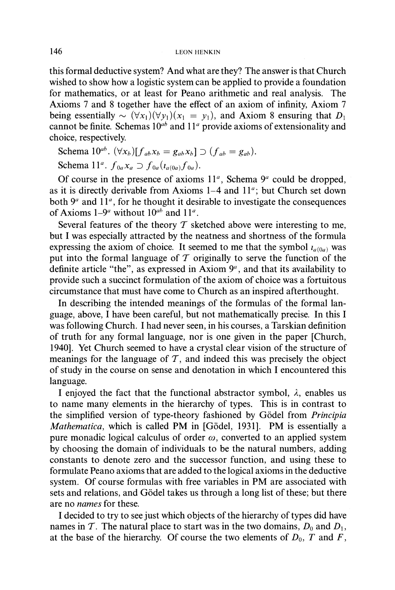**this formal deductive system? And what are they? The answer is that Church wished to show how a logistic system can be applied to provide a foundation for mathematics, or at least for Peano arithmetic and real analysis. The Axioms 7 and 8 together have the effect of an axiom of infinity, Axiom 7**  being essentially  $\sim (\forall x_1)(\forall y_1)(x_1 = y_1)$ , and Axiom 8 ensuring that  $D_1$ cannot be finite. Schemas  $10^{ab}$  and  $11^a$  provide axioms of extensionality and **choice, respectively.** 

$$
\text{Schema } 10^{ab}. \ (\forall x_b)[f_{ab}x_b = g_{ab}x_b] \supset (f_{ab} = g_{ab}).
$$

**Schema** 11<sup>*a*</sup>.  $f_{0a}x_a \supset f_{0a} (i_{a(0a)}f_{0a})$ .

Of course in the presence of axioms  $11^a$ , Schema  $9^a$  could be dropped, **as it is directly derivable from Axioms 1-4 and 11a; but Church set down**  both  $9^a$  and  $11^a$ , for he thought it desirable to investigate the consequences of Axioms  $1-9^a$  without  $10^{ab}$  and  $11^a$ .

Several features of the theory  $T$  sketched above were interesting to me, **but I was especially attracted by the neatness and shortness of the formula**  expressing the axiom of choice. It seemed to me that the symbol  $l_{a(0a)}$  was **put into the formal language of T originally to serve the function of the definite article "the", as expressed in Axiom 9", and that its availability to provide such a succinct formulation of the axiom of choice was a fortuitous circumstance that must have come to Church as an inspired afterthought.** 

**In describing the intended meanings of the formulas of the formal language, above, I have been careful, but not mathematically precise. In this I was following Church. I had never seen, in his courses, a Tarskian definition of truth for any formal language, nor is one given in the paper [Church, 1940]. Yet Church seemed to have a crystal clear vision of the structure of meanings for the language of T, and indeed this was precisely the object of study in the course on sense and denotation in which I encountered this language.** 

**I enjoyed the fact that the functional abstractor symbol, A, enables us to name many elements in the hierarchy of types. This is in contrast to**  the simplified version of type-theory fashioned by Gödel from Principia Mathematica, which is called PM in [Gödel, 1931]. PM is essentially a **pure monadic logical calculus of order**  $\omega$ **, converted to an applied system by choosing the domain of individuals to be the natural numbers, adding constants to denote zero and the successor function, and using these to formulate Peano axioms that are added to the logical axioms in the deductive system. Of course formulas with free variables in PM are associated with sets and relations, and Godel takes us through a long list of these; but there are no names for these.** 

**I decided to try to see just which objects of the hierarchy of types did have**  names in T. The natural place to start was in the two domains,  $D_0$  and  $D_1$ , at the base of the hierarchy. Of course the two elements of  $D_0$ , T and F,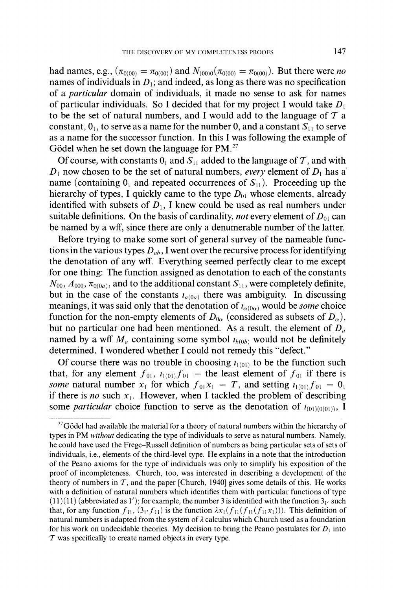**had names, e.g.,**  $(\pi_{0(00)} = \pi_{0(00)})$  **and**  $N_{(00)0}(\pi_{0(00)} = \pi_{0(00)})$ . But there were *no* names of individuals in  $D_1$ ; and indeed, as long as there was no specification **of a particular domain of individuals, it made no sense to ask for names of particular individuals. So I decided that for my project I would take D1 to be the set of natural numbers, and I would add to the language of T a**  constant,  $0<sub>1</sub>$ , to serve as a name for the number 0, and a constant  $S<sub>11</sub>$  to serve **as a name for the successor function. In this I was following the example of**  Gödel when he set down the language for PM.<sup>27</sup>

Of course, with constants  $0_1$  and  $S_{11}$  added to the language of T, and with  $D_1$  now chosen to be the set of natural numbers, *every* element of  $D_1$  has a name (containing  $0_1$  and repeated occurrences of  $S_{11}$ ). Proceeding up the hierarchy of types, I quickly came to the type  $D_{01}$  whose elements, already identified with subsets of  $D_1$ , I knew could be used as real numbers under suitable definitions. On the basis of cardinality, *not* every element of  $D_{01}$  can **be named by a wff, since there are only a denumerable number of the latter.** 

**Before trying to make some sort of general survey of the nameable func**tions in the various types  $D_{ab}$ , I went over the recursive process for identifying **the denotation of any wff. Everything seemed perfectly clear to me except for one thing: The function assigned as denotation to each of the constants**   $N_{00}$ ,  $A_{000}$ ,  $\pi_{00a}$ , and to the additional constant  $S_{11}$ , were completely definite, but in the case of the constants  $l_{a(0a)}$  there was ambiguity. In discussing **meanings, it was said only that the denotation of**  $l_{\alpha(0\alpha)}$  **would be** *some* **choice** function for the non-empty elements of  $D_{0\alpha}$  (considered as subsets of  $D_{\alpha}$ ), **but no particular one had been mentioned. As a result, the element of Da named by a wff**  $M_a$  containing some symbol  $I_{b(0b)}$  would not be definitely **determined. I wondered whether I could not remedy this "defect."** 

Of course there was no trouble in choosing  $I_{1(01)}$  to be the function such that, for any element  $f_{01}$ ,  $I_{1(01)}f_{01}$  = the least element of  $f_{01}$  if there is some natural number  $x_1$  for which  $f_{01}x_1 = T$ , and setting  $\iota_{1(01)}f_{01} = 0_1$ if there is no such  $x_1$ . However, when I tackled the problem of describing some *particular* choice function to serve as the denotation of  $\iota_{(01)(0(01))}$ , I

<sup>&</sup>lt;sup>27</sup> Gödel had available the material for a theory of natural numbers within the hierarchy of **types in PM without dedicating the type of individuals to serve as natural numbers. Namely, he could have used the Frege-Russell definition of numbers as being particular sets of sets of individuals, i.e., elements of the third-level type. He explains in a note that the introduction of the Peano axioms for the type of individuals was only to simplify his exposition of the proof of incompleteness. Church, too, was interested in describing a development of the theory of numbers in T, and the paper [Church, 1940] gives some details of this. He works with a definition of natural numbers which identifies them with particular functions of type**   $(11)(11)$  (abbreviated as 1'); for example, the number 3 is identified with the function  $3<sub>1'</sub>$  such that, for any function  $f_{11}$ ,  $(3_1 f_{11})$  is the function  $\lambda x_1(f_{11}(f_{11}(f_{11}x_1)))$ . This definition of **natural numbers is adapted from the system of**  $\lambda$  **calculus which Church used as a foundation** for his work on undecidable theories. My decision to bring the Peano postulates for  $D_1$  into **T was specifically to create named objects in every type.**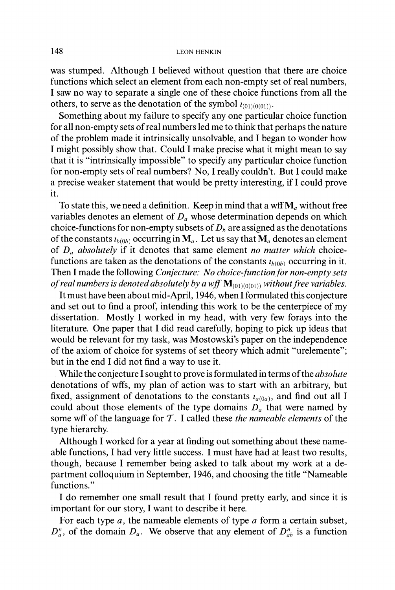**was stumped. Although I believed without question that there are choice functions which select an element from each non-empty set of real numbers, I saw no way to separate a single one of these choice functions from all the**  others, to serve as the denotation of the symbol  $\iota_{(01)(0(01))}$ .

**Something about my failure to specify any one particular choice function for all non-empty sets of real numbers led me to think that perhaps the nature of the problem made it intrinsically unsolvable, and I began to wonder how I might possibly show that. Could I make precise what it might mean to say that it is "intrinsically impossible" to specify any particular choice function for non-empty sets of real numbers? No, I really couldn't. But I could make a precise weaker statement that would be pretty interesting, if I could prove it.** 

**To state this, we need a definition. Keep in mind that a wffM, without free**  variables denotes an element of  $D_a$  whose determination depends on which choice-functions for non-empty subsets of  $D<sub>b</sub>$  are assigned as the denotations of the constants  $I_{b(0b)}$  occurring in  $M_a$ . Let us say that  $M_a$  denotes an element **of Da absolutely if it denotes that same element no matter which choice**functions are taken as the denotations of the constants  $I_{b(0b)}$  occurring in it. **Then I made the following Conjecture. No choice-function for non-empty sets**  of real numbers is denoted absolutely by a wff  $\mathbf{M}_{(01)(0(01))}$  without free variables.

**It must have been about mid-April, 1946, when I formulated this conjecture and set out to find a proof, intending this work to be the centerpiece of my dissertation. Mostly I worked in my head, with very few forays into the literature. One paper that I did read carefully, hoping to pick up ideas that would be relevant for my task, was Mostowski's paper on the independence of the axiom of choice for systems of set theory which admit "urelemente"; but in the end I did not find a way to use it.** 

**While the conjecture I sought to prove is formulated in terms of the absolute denotations of wffs, my plan of action was to start with an arbitrary, but**  fixed, assignment of denotations to the constants  $i_{a(0a)}$ , and find out all I could about those elements of the type domains  $D<sub>a</sub>$  that were named by **some wff of the language for T. I called these the nameable elements of the type hierarchy.** 

**Although I worked for a year at finding out something about these nameable functions, I had very little success. I must have had at least two results, though, because I remember being asked to talk about my work at a department colloquium in September, 1946, and choosing the title "Nameable functions."** 

**I do remember one small result that I found pretty early, and since it is important for our story, I want to describe it here.** 

**For each type a, the nameable elements of type a form a certain subset,**   $D_a^n$ , of the domain  $D_a$ . We observe that any element of  $D_{ab}^n$  is a function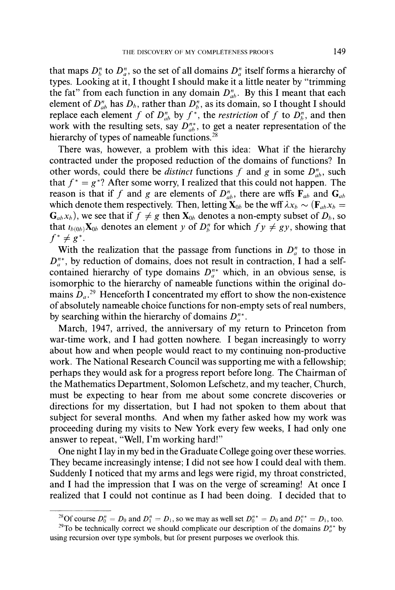that maps  $D_b^n$  to  $D_a^n$ , so the set of all domains  $D_a^n$  itself forms a hierarchy of **types. Looking at it, I thought I should make it a little neater by "trimming**  the fat" from each function in any domain  $D_{ab}^n$ . By this I meant that each **element of**  $D_{ab}^n$  **has**  $D_b$ **, rather than**  $D_b^n$ **, as its domain, so I thought I should replace each element**  $f$  of  $D_{ab}^n$  by  $f^*$ , the restriction of  $f$  to  $D_b^n$ , and then work with the resulting sets, say  $D_{ab}^{n*}$ , to get a neater representation of the **hierarchy of types of nameable functions.28** 

**There was, however, a problem with this idea: What if the hierarchy contracted under the proposed reduction of the domains of functions? In other words, could there be** *distinct* **functions**  $f$  **and**  $g$  **in some**  $D_{ab}^n$ **, such** that  $f^* = g^{*}$ ? After some worry, I realized that this could not happen. The **reason is that if f and g** are elements of  $D_{ab}^n$ , there are wffs  $\mathbf{F}_{ab}$  and  $\mathbf{G}_{ab}$ which denote them respectively. Then, letting  $\mathbf{X}_{0b}$  be the wff  $\lambda x_b \sim (\mathbf{F}_{ab} x_b =$  $\mathbf{G}_{ab}x_b$ ), we see that if  $f \neq g$  then  $\mathbf{X}_{0b}$  denotes a non-empty subset of  $D_b$ , so that  $\iota_{b(0b)}\mathbf{X}_{0b}$  denotes an element y of  $D_b^n$  for which  $f y \neq g y$ , showing that  $f^* \neq g^*$ .

With the realization that the passage from functions in  $D_a^n$  to those in  $D_{a}^{n*}$ , by reduction of domains, does not result in contraction, I had a selfcontained hierarchy of type domains  $D_n^{n*}$  which, in an obvious sense, is **isomorphic to the hierarchy of nameable functions within the original do**mains  $D_a$ <sup>29</sup> **Henceforth I concentrated my effort to show the non-existence of absolutely nameable choice functions for non-empty sets of real numbers,**  by searching within the hierarchy of domains  $D_n^{n*}$ .

**March, 1947, arrived, the anniversary of my return to Princeton from war-time work, and I had gotten nowhere. I began increasingly to worry about how and when people would react to my continuing non-productive work. The National Research Council was supporting me with a fellowship; perhaps they would ask for a progress report before long. The Chairman of the Mathematics Department, Solomon Lefschetz, and my teacher, Church, must be expecting to hear from me about some concrete discoveries or directions for my dissertation, but I had not spoken to them about that subject for several months. And when my father asked how my work was proceeding during my visits to New York every few weeks, I had only one answer to repeat, "Well, I'm working hard!"** 

**One night I lay in my bed in the Graduate College going over these worries. They became increasingly intense; I did not see how I could deal with them. Suddenly I noticed that my arms and legs were rigid, my throat constricted, and I had the impression that I was on the verge of screaming! At once I realized that I could not continue as I had been doing. I decided that to** 

<sup>&</sup>lt;sup>28</sup>Of course  $D_0^n = D_0$  and  $D_1^n = D_1$ , so we may as well set  $D_0^{n*} = D_0$  and  $D_1^{n*} = D_1$ , too.

<sup>&</sup>lt;sup>29</sup>To be technically correct we should complicate our description of the domains  $D_n^{n*}$  by **using recursion over type symbols, but for present purposes we overlook this.**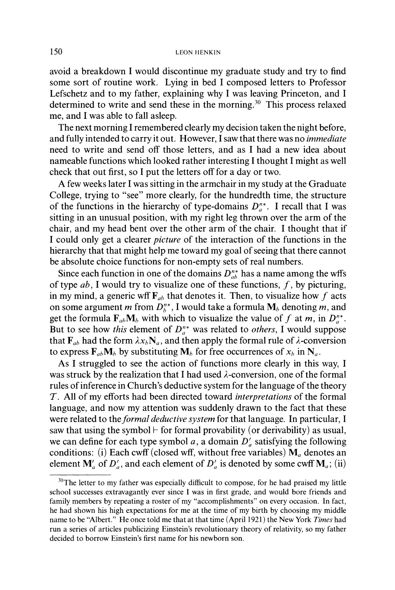#### **LEON HENKIN**

**avoid a breakdown I would discontinue my graduate study and try to find some sort of routine work. Lying in bed I composed letters to Professor Lefschetz and to my father, explaining why I was leaving Princeton, and I determined to write and send these in the morning.30 This process relaxed me, and I was able to fall asleep.** 

**The next morning I remembered clearly my decision taken the night before, and fully intended to carry it out. However, I saw that there was no immediate need to write and send off those letters, and as I had a new idea about nameable functions which looked rather interesting I thought I might as well check that out first, so I put the letters off for a day or two.** 

**A few weeks later I was sitting in the armchair in my study at the Graduate College, trying to "see" more clearly, for the hundredth time, the structure**  of the functions in the hierarchy of type-domains  $D_a^{n*}$ . I recall that I was **sitting in an unusual position, with my right leg thrown over the arm of the chair, and my head bent over the other arm of the chair. I thought that if I could only get a clearer picture of the interaction of the functions in the hierarchy that that might help me toward my goal of seeing that there cannot be absolute choice functions for non-empty sets of real numbers.** 

Since each function in one of the domains  $D_{ab}^{n*}$  has a name among the wffs **of type ab, I would try to visualize one of these functions, f, by picturing,**  in my mind, a generic wff  $\mathbf{F}_{ab}$  that denotes it. Then, to visualize how  $f$  acts on some argument m from  $D_h^{n*}$ , **I** would take a formula  $M_b$  denoting m, and get the formula  $\mathbf{F}_{ab}\mathbf{M}_{b}$  with which to visualize the value of f at m, in  $D_{a}^{n*}$ . But to see how *this* element of  $D_a^{n*}$  was related to *others*, I would suppose that  $\mathbf{F}_{ab}$  had the form  $\lambda x_b \mathbf{N}_a$ , and then apply the formal rule of  $\lambda$ -conversion to express  $\mathbf{F}_{ab}\mathbf{M}_{b}$  by substituting  $\mathbf{M}_{b}$  for free occurrences of  $x_{b}$  in  $\mathbf{N}_{a}$ .

**As I struggled to see the action of functions more clearly in this way, I**  was struck by the realization that I had used  $\lambda$ -conversion, one of the formal **rules of inference in Church's deductive system for the language of the theory T. All of my efforts had been directed toward interpretations of the formal language, and now my attention was suddenly drawn to the fact that these**  were related to the *formal deductive system* for that language. In particular, I saw that using the symbol  $\vdash$  for formal provability (or derivability) as usual, we can define for each type symbol  $a$ , a domain  $D'_a$  satisfying the following conditions: (i) Each cwff (closed wff, without free variables)  $M_a$  denotes an element  $M'_a$  of  $D'_a$ , and each element of  $D'_a$  is denoted by some cwff  $M_a$ ; (ii)

**<sup>30</sup>The letter to my father was especially difficult to compose, for he had praised my little school successes extravagantly ever since I was in first grade, and would bore friends and family members by repeating a roster of my "accomplishments" on every occasion. In fact, he had shown his high expectations for me at the time of my birth by choosing my middle name to be "Albert." He once told me that at that time (April 1921) the New York Times had run a series of articles publicizing Einstein's revolutionary theory of relativity, so my father decided to borrow Einstein's first name for his newborn son.**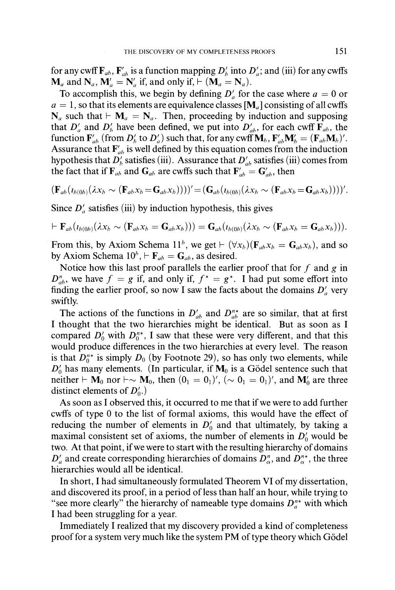for any cwff  $\mathbf{F}_{ab}$ ,  $\mathbf{F}'_{ab}$  is a function mapping  $D'_b$  into  $D'_a$ ; and (iii) for any cwffs  $\mathbf{M}_a$  and  $\mathbf{N}_a$ ,  $\mathbf{M}'_a = \mathbf{N}'_a$  if, and only if,  $\vdash (\mathbf{M}_a = \mathbf{N}_a)$ .

To accomplish this, we begin by defining  $D'_{a}$  for the case where  $a = 0$  or  $a = 1$ , so that its elements are equivalence classes  $[M_a]$  consisting of all cwffs  $N_a$  such that  $\vdash M_a = N_a$ . Then, proceeding by induction and supposing that  $D'_a$  and  $D'_b$  have been defined, we put into  $D'_{ab}$ , for each cwff  $\mathbf{F}_{ab}$ , the function  $\mathbf{F}'_{ab}$  (from  $D'_b$  to  $D'_a$ ) such that, for any cwff  $\mathbf{M}_b$ ,  $\mathbf{F}'_{ab}\mathbf{M}'_b = (\mathbf{F}_{ab}\mathbf{M}_b)'$ . Assurance that  $\mathbf{F}'_{ab}$  is well defined by this equation comes from the induction hypothesis that  $D'_b$  satisfies (iii). Assurance that  $D'_{ab}$  satisfies (iii) comes from the fact that if  $\mathbf{F}_{ab}$  and  $\mathbf{G}_{ab}$  are cwffs such that  $\mathbf{F}'_{ab} = \mathbf{G}'_{ab}$ , then

$$
(\mathbf{F}_{ab}(\iota_{b(0b)}(\lambda x_h \sim (\mathbf{F}_{ab}x_b = \mathbf{G}_{ab}x_b))))' = (\mathbf{G}_{ab}(\iota_{b(0b)}(\lambda x_h \sim (\mathbf{F}_{ab}x_b = \mathbf{G}_{ab}x_b))))'.
$$

Since  $D'_a$  satisfies (iii) by induction hypothesis, this gives

$$
\vdash \mathbf{F}_{ab}(i_{b(0b)}(\lambda x_b \sim (\mathbf{F}_{ab}x_b = \mathbf{G}_{ab}x_b))) = \mathbf{G}_{ab}(i_{b(0b)}(\lambda x_b \sim (\mathbf{F}_{ab}x_b = \mathbf{G}_{ab}x_b))).
$$

From this, by Axiom Schema 11<sup>b</sup>, we get  $\vdash (\forall x_b)(\mathbf{F}_{ab}x_b = \mathbf{G}_{ab}x_b)$ , and so by Axiom Schema  $10^b$ ,  $\vdash$   $\mathbf{F}_{ab} = \mathbf{G}_{ab}$ , as desired.

Notice how this last proof parallels the earlier proof that for  $f$  and  $g$  in  $D_{ab}^n$ , we have  $f = g$  if, and only if,  $f^* = g^*$ . I had put some effort into finding the earlier proof, so now I saw the facts about the domains  $D'_a$  very **swiftly.** 

The actions of the functions in  $D'_{ab}$  and  $D^{n*}_{ab}$  are so similar, that at first **I thought that the two hierarchies might be identical. But as soon as I**  compared  $D_0'$  with  $D_0^{n*}$ , I saw that these were very different, and that this **would produce differences in the two hierarchies at every level. The reason**  is that  $D_0^{n*}$  is simply  $D_0$  (by Footnote 29), so has only two elements, while  $D_0'$  has many elements. (In particular, if  $M_0$  is a Gödel sentence such that neither  $\vdash \mathbf{M}_0$  nor  $\vdash \sim \mathbf{M}_0$ , then  $(0_1 = 0_1)'$ ,  $(\sim 0_1 = 0_1)'$ , and  $\mathbf{M}'_0$  are three distinct elements of  $D'_0$ .)

**As soon as I observed this, it occurred to me that if we were to add further cwffs of type 0 to the list of formal axioms, this would have the effect of**  reducing the number of elements in  $D_0$  and that ultimately, by taking a maximal consistent set of axioms, the number of elements in  $D_0'$  would be **two. At that point, if we were to start with the resulting hierarchy of domains**   $D'_a$  and create corresponding hierarchies of domains  $D''_a$ , and  $D''^a$ , the three **hierarchies would all be identical.** 

**In short, I had simultaneously formulated Theorem VI of my dissertation, and discovered its proof, in a period of less than half an hour, while trying to**  "see more clearly" the hierarchy of nameable type domains  $D_n^{n*}$  with which **I had been struggling for a year.** 

**Immediately I realized that my discovery provided a kind of completeness proof for a system very much like the system PM of type theory which G6del**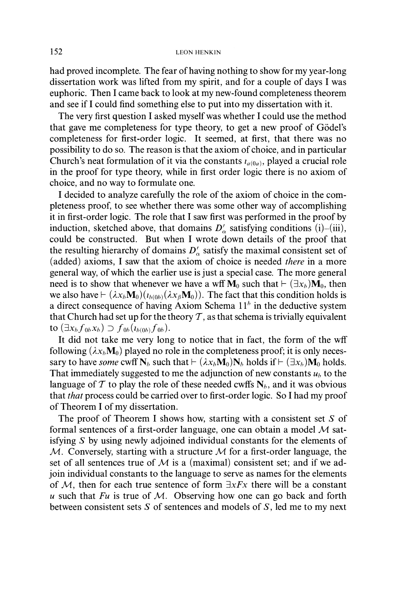**had proved incomplete. The fear of having nothing to show for my year-long dissertation work was lifted from my spirit, and for a couple of days I was euphoric. Then I came back to look at my new-found completeness theorem and see if I could find something else to put into my dissertation with it.** 

**The very first question I asked myself was whether I could use the method that gave me completeness for type theory, to get a new proof of Godel's completeness for first-order logic. It seemed, at first, that there was no possibility to do so. The reason is that the axiom of choice, and in particular**  Church's neat formulation of it via the constants  $i_{a(0a)}$ , played a crucial role **in the proof for type theory, while in first order logic there is no axiom of choice, and no way to formulate one.** 

**I decided to analyze carefully the role of the axiom of choice in the completeness proof, to see whether there was some other way of accomplishing it in first-order logic. The role that I saw first was performed in the proof by**  induction, sketched above, that domains  $D'_\alpha$  satisfying conditions (i)–(iii), **could be constructed. But when I wrote down details of the proof that**  the resulting hierarchy of domains  $D'_\n\alpha$  satisfy the maximal consistent set of **(added) axioms, I saw that the axiom of choice is needed there in a more general way, of which the earlier use is just a special case. The more general**  need is to show that whenever we have a wff  $M_0$  such that  $\vdash (\exists x_b)M_0$ , then we also have  $\vdash (\lambda x_b \mathbf{M}_0)(i_{b(0b)}(\lambda x_b \mathbf{M}_0))$ . The fact that this condition holds is a direct consequence of having Axiom Schema 11<sup>b</sup> in the deductive system that Church had set up for the theory  $\mathcal T$ , as that schema is trivially equivalent  $\mathbf{t} \mathbf{o} (\exists x_b f_{0b} x_b) \supset f_{0b}(\iota_{b(0b)} f_{0b}).$ 

**It did not take me very long to notice that in fact, the form of the wff**  following  $(\lambda x_b M_0)$  played no role in the completeness proof; it is only neces**sary to have some cwff**  $N_b$  **such that**  $\vdash (\lambda x_b \mathbf{M}_0)N_b$  **holds if**  $\vdash (\exists x_b) \mathbf{M}_0$  **holds.** That immediately suggested to me the adjunction of new constants  $u<sub>b</sub>$  to the language of  $T$  to play the role of these needed cwffs  $N<sub>b</sub>$ , and it was obvious **that that process could be carried over to first-order logic. So I had my proof of Theorem I of my dissertation.** 

**The proof of Theorem I shows how, starting with a consistent set S of formal sentences of a first-order language, one can obtain a model M satisfying S by using newly adjoined individual constants for the elements of M. Conversely, starting with a structure M for a first-order language, the set of all sentences true of M is a (maximal) consistent set; and if we adjoin individual constants to the language to serve as names for the elements**  of M, then for each true sentence of form  $\exists x Fx$  there will be a constant **u such that Fu is true of M. Observing how one can go back and forth between consistent sets S of sentences and models of S, led me to my next**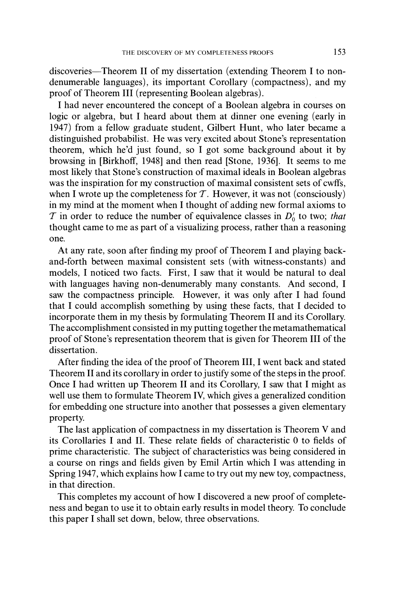**discoveries-Theorem II of my dissertation (extending Theorem I to nondenumerable languages), its important Corollary (compactness), and my proof of Theorem III (representing Boolean algebras).** 

**I had never encountered the concept of a Boolean algebra in courses on logic or algebra, but I heard about them at dinner one evening (early in 1947) from a fellow graduate student, Gilbert Hunt, who later became a distinguished probabilist. He was very excited about Stone's representation theorem, which he'd just found, so I got some background about it by browsing in [Birkhoff, 1948] and then read [Stone, 1936]. It seems to me most likely that Stone's construction of maximal ideals in Boolean algebras was the inspiration for my construction of maximal consistent sets of cwffs,**  when I wrote up the completeness for  $T$ . However, it was not (consciously) **in my mind at the moment when I thought of adding new formal axioms to**   $\mathcal T$  in order to reduce the number of equivalence classes in  $D'_0$  to two; that **thought came to me as part of a visualizing process, rather than a reasoning one.** 

**At any rate, soon after finding my proof of Theorem I and playing backand-forth between maximal consistent sets (with witness-constants) and models, I noticed two facts. First, I saw that it would be natural to deal with languages having non-denumerably many constants. And second, I saw the compactness principle. However, it was only after I had found that I could accomplish something by using these facts, that I decided to incorporate them in my thesis by formulating Theorem II and its Corollary. The accomplishment consisted in my putting together the metamathematical proof of Stone's representation theorem that is given for Theorem III of the dissertation.** 

**After finding the idea of the proof of Theorem III, I went back and stated Theorem II and its corollary in order to justify some of the steps in the proof. Once I had written up Theorem II and its Corollary, I saw that I might as well use them to formulate Theorem IV, which gives a generalized condition for embedding one structure into another that possesses a given elementary property.** 

**The last application of compactness in my dissertation is Theorem V and its Corollaries I and II. These relate fields of characteristic 0 to fields of prime characteristic. The subject of characteristics was being considered in a course on rings and fields given by Emil Artin which I was attending in Spring 1947, which explains how I came to try out my new toy, compactness, in that direction.** 

**This completes my account of how I discovered a new proof of completeness and began to use it to obtain early results in model theory. To conclude this paper I shall set down, below, three observations.**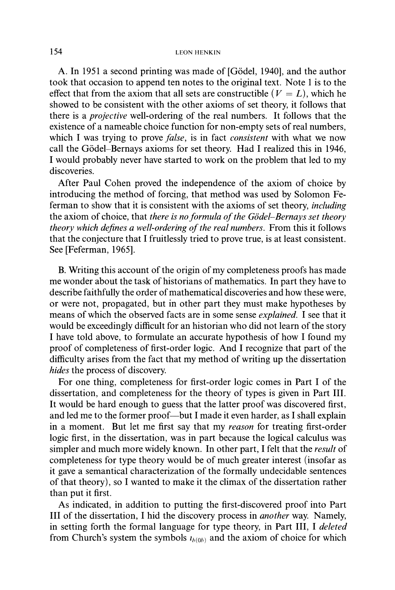A. In 1951 a second printing was made of [Gödel, 1940], and the author **took that occasion to append ten notes to the original text. Note 1 is to the**  effect that from the axiom that all sets are constructible  $(V = L)$ , which he **showed to be consistent with the other axioms of set theory, it follows that there is a projective well-ordering of the real numbers. It follows that the existence of a nameable choice function for non-empty sets of real numbers, which I was trying to prove false, is in fact consistent with what we now**  call the Gödel-Bernays axioms for set theory. Had I realized this in 1946, **I would probably never have started to work on the problem that led to my discoveries.** 

**After Paul Cohen proved the independence of the axiom of choice by introducing the method of forcing, that method was used by Solomon Feferman to show that it is consistent with the axioms of set theory, including**  the axiom of choice, that there is no formula of the Gödel-Bernays set theory **theory which defines a well-ordering of the real numbers. From this it follows that the conjecture that I fruitlessly tried to prove true, is at least consistent. See [Feferman, 1965].** 

**B. Writing this account of the origin of my completeness proofs has made me wonder about the task of historians of mathematics. In part they have to describe faithfully the order of mathematical discoveries and how these were, or were not, propagated, but in other part they must make hypotheses by means of which the observed facts are in some sense explained. I see that it would be exceedingly difficult for an historian who did not learn of the story I have told above, to formulate an accurate hypothesis of how I found my proof of completeness of first-order logic. And I recognize that part of the difficulty arises from the fact that my method of writing up the dissertation hides the process of discovery.** 

**For one thing, completeness for first-order logic comes in Part I of the dissertation, and completeness for the theory of types is given in Part III. It would be hard enough to guess that the latter proof was discovered first, and led me to the former proof-but I made it even harder, as I shall explain in a moment. But let me first say that my reason for treating first-order logic first, in the dissertation, was in part because the logical calculus was simpler and much more widely known. In other part, I felt that the result of completeness for type theory would be of much greater interest (insofar as it gave a semantical characterization of the formally undecidable sentences of that theory), so I wanted to make it the climax of the dissertation rather than put it first.** 

**As indicated, in addition to putting the first-discovered proof into Part III of the dissertation, I hid the discovery process in another way. Namely, in setting forth the formal language for type theory, in Part III, I deleted**  from Church's system the symbols  $I_{b(0h)}$  and the axiom of choice for which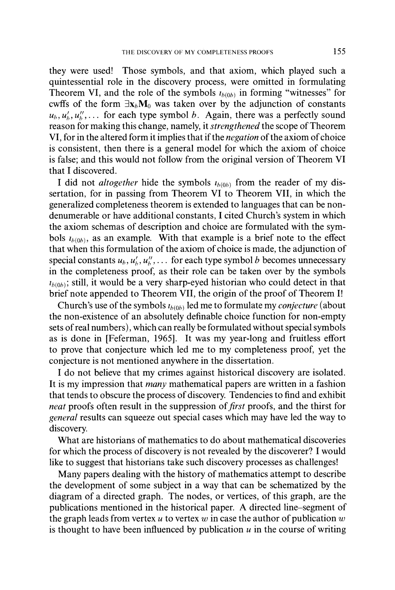**they were used! Those symbols, and that axiom, which played such a quintessential role in the discovery process, were omitted in formulating**  Theorem VI, and the role of the symbols  $i_{b(0b)}$  in forming "witnesses" for cwffs of the form  $\exists x_b M_0$  was taken over by the adjunction of constants  $u_b, u'_b, u''_b, \ldots$  for each type symbol b. Again, there was a perfectly sound **reason for making this change, namely, it strengthened the scope of Theorem VI, for in the altered form it implies that if the negation of the axiom of choice is consistent, then there is a general model for which the axiom of choice is false; and this would not follow from the original version of Theorem VI that I discovered.** 

I did not *altogether* hide the symbols  $i_{b(0b)}$  from the reader of my dis**sertation, for in passing from Theorem VI to Theorem VII, in which the generalized completeness theorem is extended to languages that can be nondenumerable or have additional constants, I cited Church's system in which the axiom schemas of description and choice are formulated with the sym**bols  $i_{h(0h)}$ , as an example. With that example is a brief note to the effect **that when this formulation of the axiom of choice is made, the adjunction of**  special constants  $u_b, u'_b, u''_b, \ldots$  for each type symbol b becomes unnecessary **in the completeness proof, as their role can be taken over by the symbols**   $b_{b(0h)}$ ; still, it would be a very sharp-eyed historian who could detect in that **brief note appended to Theorem VII, the origin of the proof of Theorem I!** 

Church's use of the symbols  $\iota_{b(0b)}$  led me to formulate my *conjecture* (about **the non-existence of an absolutely definable choice function for non-empty sets of real numbers), which can really be formulated without special symbols as is done in [Feferman, 1965]. It was my year-long and fruitless effort to prove that conjecture which led me to my completeness proof, yet the conjecture is not mentioned anywhere in the dissertation.** 

**I do not believe that my crimes against historical discovery are isolated. It is my impression that many mathematical papers are written in a fashion that tends to obscure the process of discovery. Tendencies to find and exhibit neat proofs often result in the suppression of first proofs, and the thirst for general results can squeeze out special cases which may have led the way to discovery.** 

**What are historians of mathematics to do about mathematical discoveries for which the process of discovery is not revealed by the discoverer? I would like to suggest that historians take such discovery processes as challenges!** 

**Many papers dealing with the history of mathematics attempt to describe the development of some subject in a way that can be schematized by the diagram of a directed graph. The nodes, or vertices, of this graph, are the publications mentioned in the historical paper. A directed line-segment of**  the graph leads from vertex  $u$  to vertex  $w$  in case the author of publication  $w$ is thought to have been influenced by publication  $u$  in the course of writing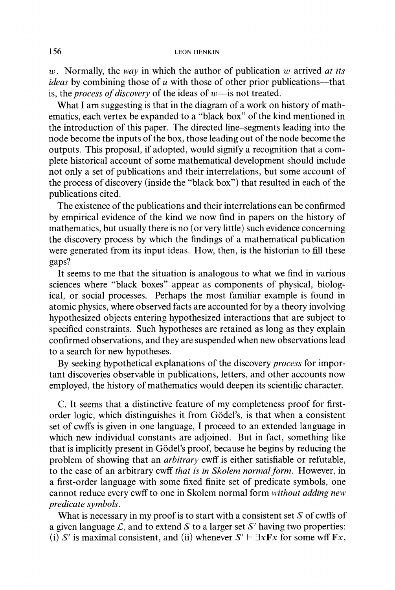**w. Normally, the way in which the author of publication w arrived at its ideas by combining those of u with those of other prior publications-that**  is, the *process of discovery* of the ideas of w—is not treated.

**What I am suggesting is that in the diagram of a work on history of mathematics, each vertex be expanded to a "black box" of the kind mentioned in the introduction of this paper. The directed line-segments leading into the node become the inputs of the box, those leading out of the node become the outputs. This proposal, if adopted, would signify a recognition that a complete historical account of some mathematical development should include not only a set of publications and their interrelations, but some account of the process of discovery (inside the "black box") that resulted in each of the publications cited.** 

**The existence of the publications and their interrelations can be confirmed by empirical evidence of the kind we now find in papers on the history of mathematics, but usually there is no (or very little) such evidence concerning the discovery process by which the findings of a mathematical publication were generated from its input ideas. How, then, is the historian to fill these gaps?** 

**It seems to me that the situation is analogous to what we find in various sciences where "black boxes" appear as components of physical, biological, or social processes. Perhaps the most familiar example is found in atomic physics, where observed facts are accounted for by a theory involving hypothesized objects entering hypothesized interactions that are subject to specified constraints. Such hypotheses are retained as long as they explain confirmed observations, and they are suspended when new observations lead to a search for new hypotheses.** 

**By seeking hypothetical explanations of the discovery process for important discoveries observable in publications, letters, and other accounts now employed, the history of mathematics would deepen its scientific character.** 

**C. It seems that a distinctive feature of my completeness proof for firstorder logic, which distinguishes it from Godel's, is that when a consistent set of cwffs is given in one language, I proceed to an extended language in which new individual constants are adjoined. But in fact, something like that is implicitly present in Godel's proof, because he begins by reducing the problem of showing that an arbitrary cwff is either satisfiable or refutable,**  to the case of an arbitrary cwff *that is in Skolem normal form*. However, in **a first-order language with some fixed finite set of predicate symbols, one cannot reduce every cwff to one in Skolem normal form without adding new predicate symbols.** 

What is necessary in my proof is to start with a consistent set S of cwffs of a given language  $\mathcal{L}$ , and to extend  $S$  to a larger set  $S'$  having two properties: (i) S' is maximal consistent, and (ii) whenever  $S' \vdash \exists x \mathbf{F} x$  for some wff  $\mathbf{F} x$ ,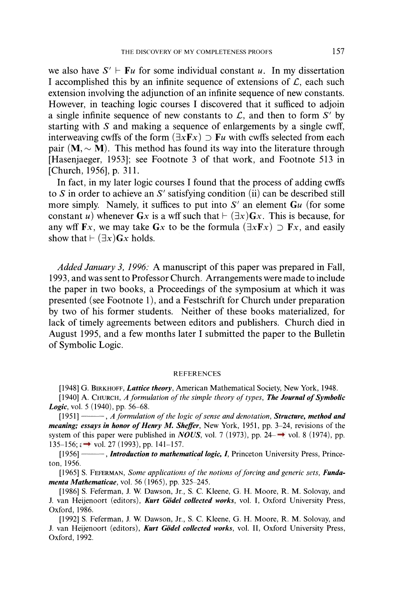we also have  $S' \vdash$  **Fu** for some individual constant u. In my dissertation I accomplished this by an infinite sequence of extensions of  $\mathcal{L}$ , each such **extension involving the adjunction of an infinite sequence of new constants. However, in teaching logic courses I discovered that it sufficed to adjoin**  a single infinite sequence of new constants to  $\mathcal{L}$ , and then to form  $S'$  by **starting with S and making a sequence of enlargements by a single cwff, interweaving cwffs of the form**  $(\exists x \mathbf{F} x) \supset \mathbf{F} u$  **with cwffs selected from each** pair  $(M, \sim M)$ . This method has found its way into the literature through **[Hasenjaeger, 1953]; see Footnote 3 of that work, and Footnote 513 in [Church, 1956], p. 311.** 

**In fact, in my later logic courses I found that the process of adding cwffs to S in order to achieve an S' satisfying condition (ii) can be described still more simply. Namely, it suffices to put into S' an element Gu (for some**  constant u) whenever  $\mathbf{G}x$  is a wff such that  $\vdash (\exists x)\mathbf{G}x$ . This is because, for any wff **F**x, we may take **G**x to be the formula  $(\exists x \mathbf{F} x) \supset \mathbf{F} x$ , and easily show that  $\vdash (\exists x)$ **G***x* holds.

**Added January 3, 1996. A manuscript of this paper was prepared in Fall, 1993, and was sent to Professor Church. Arrangements were made to include the paper in two books, a Proceedings of the symposium at which it was presented (see Footnote 1), and a Festschrift for Church under preparation by two of his former students. Neither of these books materialized, for lack of timely agreements between editors and publishers. Church died in August 1995, and a few months later I submitted the paper to the Bulletin of Symbolic Logic.** 

## **REFERENCES**

**[1948] G. BIRKHOFF, Lattice theory, American Mathematical Society, New York, 1948.** 

**[1940] A. CHURCH, A formulation of the simple theory of types, The Journal of Symbolic Logic, vol. 5 (1940), pp. 56-68.** 

 $[1951]$  — **, A formulation of the logic of sense and denotation, Structure, method and meaning; essays in honor of Henry M. Sheffer, New York, 1951, pp. 3-24, revisions of the**  system of this paper were published in *NOUS*, vol. 7 (1973), pp. 24  $\rightarrow$  vol. 8 (1974), pp. 135-156;  $\varepsilon \rightarrow$  vol. 27 (1993), pp. 141-157.

[1956] **\_\_\_\_\_\_, Introduction to mathematical logic, I**, Princeton University Press, Prince**ton, 1956.** 

[1965] S. FEFERMAN, Some applications of the notions of forcing and generic sets, **Fundamenta Mathematicae, vol. 56 (1965), pp. 325-245.** 

**[1986] S. Feferman, J. W. Dawson, Jr., S. C. Kleene, G. H. Moore, R. M. Solovay, and**  J. van Heijenoort (editors), **Kurt Gödel collected works**, vol. I, Oxford University Press, **Oxford, 1986.** 

**[1992] S. Feferman, J. W. Dawson, Jr., S. C. Kleene, G. H. Moore, R. M. Solovay, and**  J. van Heijenoort (editors), **Kurt Gödel collected works**, vol. II, Oxford University Press, **Oxford, 1992.**